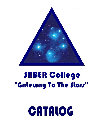# CATALOG

## SABER College "Gateway To The Stars"

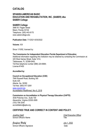## **CATALOG**

## **SPANISH-AMERICAN BASIC EDUCATION AND REHABILITATION, INC. (SABER) dba SABER College**

#### **SABER College**

3990 W. Flagler Street Miami, Florida 33134 Telephone: (305) 443-9170 www.sabercollege.edu

**Publication Date:** 7/1/2021-6/30/2022

**Volume:** XIX

Since 1/10/92, licensed by:

#### **The Commission for Independent Education Florida Department of Education**

Additional information regarding this institution may be obtained by contacting the Commission at: 325 West Gaines Street, Suite 1414, Tallahassee, FL 32399-0400, Toll-free telephone number (888) 224-6684; License #1400

#### **Accredited by:**

#### **Council on Occupational Education (COE)**

7840 Roswell Road, Building 300 Suite 325 Atlanta, Ga. 30350 Toll free: (800) 917-2081 [www.council.org](http://www.council.org/) Accreditation Reaffirmed: Nov 6, 2018

#### **Commission on Accreditation in Physical Therapy Education (CAPTE)**

3030 Potomac Ave., Suite 100 Alexandria, Virginia 22305-3085 (703) 706-3245 accreditation@apta.org

## **CERTIFIED TRUE AND CORRECT IN CONTENT AND POLICY.**

*Josefina Habif Chief Executive Officer* School Official's Name Title

*Josefina Habif* July 1, 2022

School Official's Signature Date Date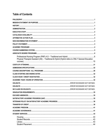## **Table of Contents**

| Physical Therapist Assistant (AS) - Traditional & Hybrid (Hybrid refers to ONLY General Education |  |
|---------------------------------------------------------------------------------------------------|--|
|                                                                                                   |  |
|                                                                                                   |  |
|                                                                                                   |  |
|                                                                                                   |  |
|                                                                                                   |  |
|                                                                                                   |  |
|                                                                                                   |  |
|                                                                                                   |  |
|                                                                                                   |  |
|                                                                                                   |  |
|                                                                                                   |  |
|                                                                                                   |  |
|                                                                                                   |  |
|                                                                                                   |  |
|                                                                                                   |  |
|                                                                                                   |  |
|                                                                                                   |  |
|                                                                                                   |  |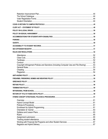| Copyright Infringement Policies and Sanctions (Including Computer Use and File Sharing)  53 |     |
|---------------------------------------------------------------------------------------------|-----|
|                                                                                             |     |
|                                                                                             |     |
|                                                                                             |     |
|                                                                                             |     |
|                                                                                             |     |
|                                                                                             |     |
|                                                                                             |     |
|                                                                                             |     |
|                                                                                             | .59 |
|                                                                                             |     |
|                                                                                             |     |
|                                                                                             |     |
|                                                                                             |     |
|                                                                                             |     |
|                                                                                             |     |
|                                                                                             |     |
|                                                                                             |     |
|                                                                                             |     |
|                                                                                             |     |
|                                                                                             |     |
|                                                                                             |     |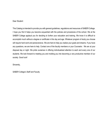#### Dear Student:

This Catalog is intended to provide you with general guidelines, regulations and resources of SABER College. I hope you find it helps you become acquainted with the policies and procedures of the school. We at the SABER College applaud you for deciding to further your education and training. We know it is difficult to accomplish much without a degree or certificate in this day and age. Whatever program of study you choose will require hard work and perseverance. We are here to help you realize your goals and dreams. If you have any questions, we are here to help. Contact one of the faculty members or your Counselor. We are at your disposal day or night. We pride ourselves in offering individualized attention to each and every one of our students. We look forward to meeting you and molding you into becoming a very productive member of our society. Good luck!

Sincerely,

SABER College's Staff and Faculty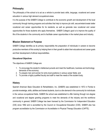## <span id="page-6-0"></span>**Philosophy**

The philosophy of the school is to act as a vehicle to provide basic skills, language, vocational and career education in various high demand occupational areas.

It is the purpose of the SABER College to contribute to the economic growth and development of the local community through training programs and activities that help to improve job skill, secure/retain/create better vocational and career opportunities for its residents, as well as generate new vocational and career opportunities for those students who apply themselves. SABER College's goal is to improve the quality of life of the students in the community and to facilitate career opportunities in the market place and industry.

## <span id="page-6-1"></span>**Mission Statement or Purpose**

SABER College identifies as its primary responsibility the preparation of individuals in careers to become productive members of this society by helping them in their growth to attain their educational and career goals and their development of ethical responsibilities.

#### **Educational Objectives**

The objectives of SABER College are:

- 1. To encourage the student's intellectual pursuits and meet the healthcare, business and technology demands of the economy;
- 2. To prepare men and women for entry level positions in various career fields; and
- 3. To provide a highly qualified faculty and staff to meet the needs of the student body.

## <span id="page-6-2"></span>**History**

Spanish American Basic Education & Rehabilitation, Inc. (SABER) was established in 1972 in Florida to provide knowledge, skills, abilities and trained students, due to a dire demand in the community for individuals in the various occupational fields. SABER the school was established to offer training through non-degree and vocational and degree granting programs to meet the demands of the industry and the workforce community in general; SABER College has been licensed by the Commission for Independent Education (CIE) since 1992 and is accredited by the Council on Occupational Education (COE). SABER also has program accreditation by the Commission on Accreditation in Physical Therapy Education (CAPTE).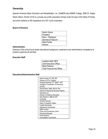## **Ownership**

Spanish American Basic Education and Rehabilitation, Inc. (SABER) dba SABER College, 3990 W. Flagler Street, Miami, Florida 33134 is a private non-profit corporation formed under the laws of the State of Florida, and which adheres to IRS regulations as a 501 (c)(3) corporation.

#### **Board of Directors**

| <b>Hector Gasca</b> |
|---------------------|
| President           |
| Raul L. Rodriguez   |
| Secretary/Treasurer |
| Hilda Portilla      |
| <b>Director</b>     |
|                     |

#### <span id="page-7-0"></span>**Administration**

Directors of the school have ample educational background, experience and administrative competence to properly supervise all activities.

#### <span id="page-7-1"></span>**Executive Staff**

| Josefina Habif, MPA                |
|------------------------------------|
| <b>Chief Executive Officer</b>     |
| Maria Palacios                     |
| <b>Chief Financial Aid Officer</b> |

#### **Educational/Administrative Staff**

| Karen Arocha, PT, BS, MS              |
|---------------------------------------|
| Director of PTA Program               |
| Gaspara Bardritch, PT, MSPT, DPT      |
| Academic Coordinator of Clinical Ed   |
| (ACCE)                                |
| Ronda Mims, MSN, MS Ed, RN            |
| Director Professional Nursing Program |
| Alexandra Lis                         |
| Director of Distance Education        |
| Alex Montorro, MBA & CPA              |
| Controller                            |
| Amarilis Somoza                       |
| Dean of Academic Affairs              |
| Linette Hernandez                     |
| Admissions Coordinator                |
| Millie Laurent                        |
| Policy and Procedures Coord           |
| Personnel Manager                     |
| <b>Dulce Estevez</b>                  |
| Accreditation Coordinator             |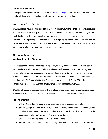## <span id="page-8-0"></span>**Catalogue Availability**

Catalogues and Handbooks are available online at [www.sabercollege.edu.](http://www.sabercollege.edu/) It is your responsibility to become familiar with them prior to the beginning of classes, by reading and reviewing them.

#### **Descriptions of School Facilities**

SABER College is housed in a building located at 3990 W. Flagler St., Miami, Florida. The campus occupies 5,500 square feet of physical space; it has access to convenient public transportation and parking facilities. The School is centrally air conditioned and contains all needed modern equipment. It is made up of four classrooms, 1 roving (mobile unit) computer lab, one nursing skills lab/nursing simulation lab, one physical therapy lab, a library information resource service area, an admissions office, a financial aid office, a reception area, a faculty working area and administrative space.

## <span id="page-8-1"></span>**Affirmative Action Plan**

## <span id="page-8-2"></span>**Non Discrimination Statement**

SABER does not discriminate on the basis of age, color, disability, national or ethnic origin, race, sex, or any other characteristic protected by law in the administration of its educational, admission or registration policies, scholarships, loan programs, employment practices, or any of SABER administered programs. SABER offers equal opportunity in its employment, admissions and educational programs and activities in compliance with Title VI and VII of the Civil Right Act of 1964, as amended, Section 504, of the Rehabilitation Act of 1973, as amended, and the American with Disabilities Act of 1990.

SABER shall likewise assure equal opportunity to any handicapped person who is an applicant, employee or client unless the disability involved prevents satisfactory performance of the work involved.

## <span id="page-8-3"></span>**Policy Statement**

- SABER College does not use employment agencies to recruit prospective students.
- SABER College does not recruit at welfare offices, unemployment lines, food stamp centers, homeless shelters, nursing homes, etc. Saber is an approved Training Agent and vendor of the Department of Education's Division of Vocational Rehabilitation.
- SABER College does not place ads in help-wanted sections.
- SABER College documents reasons for denying admissions. These records are available for a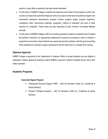period of a year after an applicant has been denied admission.

- It is the policy of SABER College to maintain the objectives and content of the programs current; this is done by having three potential employers (every two years) review each educational program and recommend admission requirements, program content, program length, program objectives, competency tests, instructional materials, equipment, method of evaluation and level of skills required for completion. These areas are also discussed at each Advisory Committee Meeting annually.
- It is the policy of SABER College to offer to its student population academic advisement and if needed the student is referred to an appropriate professional for personal counseling in order to maintain a supportive environment, where students can openly discuss their problems, with the goal of providing these students the necessary support mechanisms that will allow them to complete their training.

## **Veterans Approval**

SABER College is approved by the Department of Veterans Affairs to accept students who are eligible to participate. Veteran applicants seeking to attend SABER using their Veteran's benefits should inform their intake specialist.

## <span id="page-9-0"></span>**Academic Programs**

#### **Associate Degree Program**

- Professional Nursing Program (PNP) (AS) 82 Semester Credit hrs. (Traditional & Hybrid Delivery)
- Physical Therapist Assistant (AS) 76 Semester Credit hrs. (Traditional & Hybrid Delivery)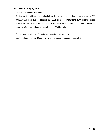## <span id="page-10-0"></span>**Course Numbering System**

#### **Associate in Science Programs**

The first two digits of the course number indicate the level of the course. Lower level courses are 1001 and 2001. Advanced level courses are termed 3001 and above. The third and fourth digit of the course number indicates the series of the courses. Program outlines and descriptions for Associate Degree programs offered can be found in pages 7 through 22 of this catalog.

Courses reflected with one (1) asterisk are general educations courses Courses reflected with two (2) asterisks are general education courses offered online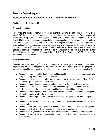## <span id="page-11-0"></span>**Associate Degree Programs**

## <span id="page-11-1"></span>**Professional Nursing Program (PNP) A.S – Traditional and Hybrid**

#### **Total Semester Credit Hours: 76**

#### **Program Description**

The Professional Nursing Program (PNP) is an intensive, full-time program comprised of 76 credit hours/1,845 clock hours, which includes theory, lab and clinical rotation experience. This experience will cover medical, surgical, obstetric, pediatric, geriatric and psychiatric nursing. Reinforcement of basic skills in English, Mathematics, and Sciences appropriate for the job preparatory program will occur thorough didactic instruction and applied laboratory procedures/practice. This program is designed to prepare the graduate to utilize and apply the nursing process to provide nursing care to clients across the life span in a variety of settings. Upon successful completion of the curriculum and after passing comprehensive exit exam, the graduate will receive an Associate of Science Degree in Nursing and will be eligible to take the National Council Licensure Examination for Registered Nurses (NCLEX-RN). Passing the NCLEX is required for employment as a Registered Nurse.

#### **Program Objectives**

The objectives of the Nursing (A.S.) Program is to provide the knowledge, clinical skills, nursing values, meanings and experience necessary for an entry-level professional nursing position; this program will prepare the student for employment as a registered nurse. At the end of the program, the graduate will:

- Demonstrate knowledge of the health status and functional health needs of clients and families by using the nursing process to interpret health data.
- Demonstrate knowledge in formulating nursing plans of care in collaboration with clients, families and interdisciplinary healthcare team members.
- Demonstrate knowledge in implementing a plan of care within the legal and ethical parameters.
- Demonstrate knowledge in developing teaching and learning plans to implement with clients and families, whether directly or through assignment to other members of the healthcare team
- Demonstrate knowledge in evaluating client's and families' responses and outcomes to therapeutic intervention in order to adjust the plan of care.
- Demonstrate knowledge in providing care to multiple clients through direct care and/or delegation of care
- Demonstrate use of critical thinking to analyze clinical data and current literature as a basis for decision making
- Demonstrate ability to act as an advocate to promote quality healthcare for culturally diverse groups.
- Demonstrate ability to coordinate resources for the provision of quality care
- Demonstrate ability to function within the organizational framework of various healthcare settings.
- Demonstrate responsibility and accountability for quality of nursing consistent with the legal scope of the practice.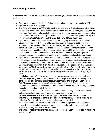## **Entrance Requirements**

In order to be accepted into the Professional Nursing Program, (A.S) an applicant must meet the following requirements:

- Applicant must submit a High School Diploma (or equivalent in their country of origin) or GED.
- Applicant must be 18 years of age.
- The Kaplan (65) is one of SABER's College official entrance exams. The Kaplan exam will be offered no more than 3 times with waiting times as follows: 72 hrs. after the first exam, and 30 days for the third exam. Applicants may be granted acceptance into the nursing program based upon equivalent entrance test scores on other qualifying exams including ACT (18) SAT (1330 prior to 3/5/16), SAT (980 on or after 3/6/2016) and/or HESI A2 Exam (80), TEAS (58) and Kaplan (65).
- Applicant must submit official school transcript documenting any previous work in the United States, with a minimum GPA of 2.0 (C) for each course, when requesting credit for general education courses previously taken at the associate degree level or higher. A student whose scores are below a 2.0 must take the course at SABER. Applicants requesting general education credit from foreign countries must submit an evaluation from Josef Silny & Associates, Inc. which specifies the academic content of the course to be waived. SABER will only waive general education courses that have the same academic content as the ones offered at this institution.
- Applicant must successfully complete a personal oral and written interview with the Program Team of the program in order to evaluate the applicant's ability to communicate satisfactorily as required by the health care delivery system. The interviewer must recommend applicant for admission.
- Student Orientation Orientation of new students is conducted for each academic start. New students will learn about SABER College, including procedures, rules and regulations. Students will receive their program schedule and will get acquainted with the school facilities on the first day of class, when an orientation session will be provided. Catalogs and Handbooks will be provided one week prior to the beginning of class.

For Students who are 16-17 years old, parent or guardian approval is required for enrollment. SABER College designates a properly trained individual to provide each of the following student services: **academic advisement**: provides information to new and continuing students about SABER College services and *academic* educational and career goals. The department also provides information to transfer students, guides students toward an academic pathway, and helps students determine their eligibility to graduate.

**financial aid advisement:** provides information to new and continuing students about SABER College financial services, including loans, grants and methods of payment

**personal advisement**: will be referred to an appropriate professional who can provides information, assistance and guidance to students in resolving personal and social problems and difficulties. They may refer students to community services as needed.

**placement services**: Placement services shall be provided to all graduates without additional charge. No guarantee of placement shall be directly or indirectly implied. Records of initial employment of all graduates shall be maintained.

The extent of these services and the personnel assigned to our students shall be determined by the size of our institution.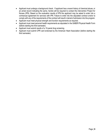- Applicant must undergo a background check. If applicant has a recent history of chemical abuse, or an arrest record indicating the same, he/she will be required to contact the intervention Project for Nurses (IPN). Based on the evaluation results of IPN the applicant may be asked to enter into a contractual agreement for services with IPN. Failure to enter into the stipulated contract and/or to comply with any of the requirements of the contract will result in denial of admission into the program.
- Applicant must meet physical strength and function requirements as required.
- Applicant must meet personal health requirements as stipulated in the SABER Physical Health Form (before starting the third semester).
- Applicant must submit results of a 10-panel drug screening.
- Applicant must submit CPR card endorsed by the American Heart Association (before starting the third semester).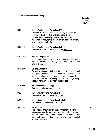#### **Associate of Science in Nursing**

#### **Semester Credit Hours**

| <b>BSC 1001</b> | <b>Human Anatomy and Physiology I**</b><br>This course provides a basic understanding of the human<br>body, its systems and their functions. Students will<br>concentrate on these body systems: skeletal system,<br>integument system, cardiovascular system, muscular system,<br>nervous system, and cells.                             | $\mathbf{3}$   |
|-----------------|-------------------------------------------------------------------------------------------------------------------------------------------------------------------------------------------------------------------------------------------------------------------------------------------------------------------------------------------|----------------|
| <b>BSC 1002</b> | Human Anatomy and Physiology Lab I**<br>This course consists of the laboratory for BSC 1001.                                                                                                                                                                                                                                              | 1              |
| <b>ENG 1001</b> | <b>English Composition I**</b><br>In this course, through a variety of writing projects the student<br>develops competence in writing clear, correct, and effective<br>English prose.                                                                                                                                                     | 3              |
| <b>MAC 1105</b> | College Algebra **<br>This course introduces students to the concept of functions and<br>their graphs. Students will graph linear and quadratic, as well<br>as learn absolute value functions and transformations. Other<br>topics included are: set theory, number theory, geometry,<br>measurements, probability theory and statistics. | 3              |
| <b>PSY 1000</b> | Introduction to Psychology**<br>Study of mental processes and behavior                                                                                                                                                                                                                                                                    | $\mathbf{3}$   |
| <b>BSC 1011</b> | <b>Human Anatomy and Physiology II **</b><br>This course is a continuation of BSC 1001                                                                                                                                                                                                                                                    | $\overline{3}$ |
| <b>BSC 1012</b> | Human Anatomy and Physiology II - Lab**<br>This course if the laboratory for <b>BSC 1011</b>                                                                                                                                                                                                                                              | 1              |
| <b>BSC 2001</b> | Microbiology **<br>This course is an introductory study of the microbial world<br>with emphasis on the nature and behavior of microorganisms,<br>the interrelationships between microbes and the human host in<br>health and disease, and the principles of prevention and control<br>of infectious disease.                              | 3              |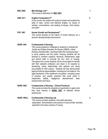| <b>BSC 2002</b>    | Microbiology Lab**<br>This course is laboratory for <b>BSC 2001</b>                                                                                                                                                                                                                                                                                                                                                                                                                                                                                                                                                                                                                                                                                                                                                                                                                                                                                                                 | 1            |
|--------------------|-------------------------------------------------------------------------------------------------------------------------------------------------------------------------------------------------------------------------------------------------------------------------------------------------------------------------------------------------------------------------------------------------------------------------------------------------------------------------------------------------------------------------------------------------------------------------------------------------------------------------------------------------------------------------------------------------------------------------------------------------------------------------------------------------------------------------------------------------------------------------------------------------------------------------------------------------------------------------------------|--------------|
| <b>ENG 1011</b>    | <b>English Composition II**</b><br>In this course, the student will continue to learn and practice the<br>skills of clear, correct and effective English, by means of<br>writings, conversations, and reading of essays, short stories,<br>and poem                                                                                                                                                                                                                                                                                                                                                                                                                                                                                                                                                                                                                                                                                                                                 | $\mathbf{2}$ |
| <b>PSY 1001</b>    | <b>Human Growth and Development**</b><br>This course focuses on the nature of human behavior as a<br>dynamic developmental phenomenon.                                                                                                                                                                                                                                                                                                                                                                                                                                                                                                                                                                                                                                                                                                                                                                                                                                              | 3            |
| <b>NURS 1001</b>   | <b>Fundamentals of Nursing</b><br>This course presents a challenge to students to cultivate the<br>Quality and Safety Education for Nurses (QSEN), critical<br>thinking, blended skills--practiced within the nursing process-<br>to serve patients and the public. Nursing students will be<br>directed to combine cognitive, technical, interpersonal, legal<br>and ethical skills to promote the four aims of nursing.<br>Throughout the course students will be encouraged to identify<br>with their selected profession and share in its rewards by<br>developing caring relationships with patients and being<br>accountable for their actions. Students will also demonstrate<br>legal and ethical responsibilities, including but not limited to: the<br>legal framework of the healthcare occupation, including scope<br>of practice, and explain practices that could result in<br>malpractice<br>liability, negligence, abandonment,<br>false<br>imprisonment and fraud. | 4            |
| <b>NURS 1002</b>   | <b>Fundamentals of Nursing - Clinical Practicum</b><br>This course provides the students an opportunity to apply what<br>they have learned in NURS 1001 at selected clinical<br>experiences.                                                                                                                                                                                                                                                                                                                                                                                                                                                                                                                                                                                                                                                                                                                                                                                        | 3            |
| <b>NURS 1002-L</b> | <b>Fundamentals of Nursing Lab</b><br>This course provides students in the skills laboratory<br>explanation, demonstration and practice of care provider activities,<br>essential to the basic practice of nursing                                                                                                                                                                                                                                                                                                                                                                                                                                                                                                                                                                                                                                                                                                                                                                  | $\mathbf{2}$ |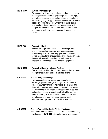| <b>NURS 1100</b> | <b>Nursing Pharmacology</b><br>This course provides an introduction to nursing pharmacology<br>that integrates the concepts of physiology, pathophysiology,<br>chemistry, and nursing fundamentals to build a foundation for<br>administering drug therapy to patients. Students will be able to<br>discuss drug legislation in the United States and explain the<br>legal regulation for drug development, approval and testing.<br>Lifespan considerations, evidence for best practice, patient<br>safety, and critical thinking are integrated throughout the<br>course.                          | 3              |
|------------------|------------------------------------------------------------------------------------------------------------------------------------------------------------------------------------------------------------------------------------------------------------------------------------------------------------------------------------------------------------------------------------------------------------------------------------------------------------------------------------------------------------------------------------------------------------------------------------------------------|----------------|
| <b>NURS 2001</b> | <b>Psychiatric Nursing</b><br>Students will be presented with current knowledge related to<br>care of the mentally ill, including elderly considerations<br>through key points, critical thinking questions, drug alerts,<br>cultural considerations, and application of the nursing process.<br>Students will learn about legal and ethical issues, and<br>emotional concerns related to the mentally ill population.                                                                                                                                                                               | $\mathbf{2}$   |
| <b>NURS 2002</b> | <b>Psychiatric Nursing - Clinical Practicum</b><br>This course provides the student opportunities to apply<br>concepts of psychiatric nursing in a clinical setting.                                                                                                                                                                                                                                                                                                                                                                                                                                 | $\overline{2}$ |
| <b>NURS 3001</b> | <b>Medical-Surgical Nursing I</b><br>This course will address nursing care issues from a<br>physiologic, pathophysiologic, and psychosocial context and<br>provides an understanding of the nurse's role in health and<br>illness within evolving practice environments and across the<br>spectrum of health and illness. Nursing students will develop<br>up-to-date knowledge to apply through critical thinking and<br>clinical reasoning. This course also teaches students about<br>ethical decision making, the nursing process, health<br>education, health promotion, and health assessment. | 4              |
| <b>NURS 3002</b> | <b>Medical-Surgical Nursing I - Clinical Practicum</b><br>This course provides students opportunities to apply what they<br>have learned in <b>NURS 3001</b> at selected clinical experiences.                                                                                                                                                                                                                                                                                                                                                                                                       | 3              |

Page | **11**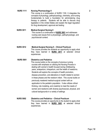| <b>NURS 1111</b> | <b>Nursing Pharmacology II</b><br>This course is a continuation of NURS 1100. It integrates the<br>concepts of physiology, pathophysiology, chemistry, and nursing<br>fundamentals to build a foundation for administering drug<br>therapy to patients. Students will be able to discuss drug<br>legislation in the United States and explain the legal regulation<br>for drug development, approval and testing                                                                                                                                                                                                                                                                                                                                                                              |
|------------------|-----------------------------------------------------------------------------------------------------------------------------------------------------------------------------------------------------------------------------------------------------------------------------------------------------------------------------------------------------------------------------------------------------------------------------------------------------------------------------------------------------------------------------------------------------------------------------------------------------------------------------------------------------------------------------------------------------------------------------------------------------------------------------------------------|
| <b>NURS 3011</b> | <b>Medical-Surgical Nursing II</b><br>This course is a continuation of <b>NURS 3001</b> and addresses<br>nursing care issues from a physiologic, pathophysiologic, and<br>psychosocial context.                                                                                                                                                                                                                                                                                                                                                                                                                                                                                                                                                                                               |
| <b>NURS 3012</b> | <b>Medical-Surgical Nursing II - Clinical Practicum</b><br>This course provides the students an opportunity to apply what<br>they have learned in <b>NURS 3011</b> at selected clinical<br>experiences.                                                                                                                                                                                                                                                                                                                                                                                                                                                                                                                                                                                       |
| <b>NURS 5001</b> | <b>Obstetrics and Pediatrics</b><br>This course builds on the concepts of previous nursing<br>courses with emphasis on utilizing the Nursing Process in<br>dealing with women's health focused during childbearing<br>years, antepartum, intrapartum, and the health of newborns.<br>Students will explore the concepts of health promotion,<br>disease prevention, and alterations in health related to women<br>in these phases and the newborn infant. This course builds on<br>previously mastered medical-surgical content with an<br>application to the pediatric population. It also utilizes critical<br>thinking, role modeling, and creativity to meet the needs of<br>women and newborns with diverse psychosocial, physical, and<br>cultural backgrounds in a variety of settings |
| <b>NURS 5002</b> | <b>Obstetrics and Pediatrics - Clinical Practicum</b><br>This course provides an opportunity to the student to apply what<br>they have learned in <b>NURS 5001</b> at selected clinical<br>experiences.                                                                                                                                                                                                                                                                                                                                                                                                                                                                                                                                                                                       |

 **2**

**3**

**4**

**4**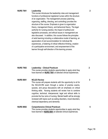#### **NURS 7001 Leadership**

.

This course introduces the leadership roles and management functions of professional registered nurses within the structure of an organization. The management process (planning, organizing, staffing, directing, and controlling) provides the structure of the course. Emphasis is given to organization theory, management theory, and behavioral theory. The legal authority for nursing practice, the impact of political and legislative processes, and ethical issues in management are also discussed. In addition, this course follows the principles of adult learning including a collaborative model of learning, an appreciation of and accommodation for individual life experiences, a fostering of critical reflective thinking, creation of a participative environment, and empowerment of the learner through self-direction of the learning process.

| <b>NURS 7002</b> | <b>Leadership - Clinical Practicum</b><br>This course provides students opportunities to apply what they<br>have learned on NURS 7001 at selected clinical experiences. |
|------------------|-------------------------------------------------------------------------------------------------------------------------------------------------------------------------|
| <b>NURS 8001</b> | <b>NCLEX Review</b><br>This course will prepare students with the opportunity to sit for<br>the NCLEX-RN exam through a series of practice exams,                       |

the NCLEX-RN exam through a series of practice exams, quizzes, and group discussions with an emphasis on critical thinking skills. Nursing students will review how to combine cognitive, technical, interpersonal, legal and ethical skills to promote the four aims of nursing. Mental health will be strongly reviewed with topics such as eating disorders, mood disorders, chemical dependency and dementia.

#### **NURS 8002 Comprehensive Clinical Practicum**  This course provides students opportunities to apply what they have learned in **NURS 8001** at selected clinical experiences.

 **2**

 **3** 

**5**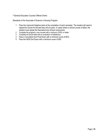#### \*\*General Education Courses Offered Online

Standards of the Associate of Science in Nursing Program:

- 1 Pass the Lippincott Adaptive tests at the completion of each semester. The student will need to repeat the course for the test they did not pass. In cases where a clinical course is failed, the student must repeat the theoretical and clinical components
- 2 Complete the program's core courses with a minimum of 80% or better
- 3 Complete all clinical skills with an evaluation of Satisfactory
- 4 Pass a Cumulative Exit Final Exam with a minimum score of 80%
- 5 Pass the HESI Exit Exam with a minimum score of 900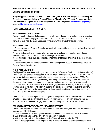## <span id="page-20-0"></span>**Physical Therapist Assistant (AS) – Traditional & Hybrid (Hybrid refers to ONLY General Education courses)**

**Program approved by CIE and COE** – **The PTA Program at SABER College is accredited by the Commission on Accreditation in Physical Therapy Education (CAPTE), 3030 Potomac Ave., Suite 100, Alexandria, Virginia 22305-3085; telephone: 703-706-3245; email[: accreditation@apta.org;](mailto:accreditation@apta.org) website: [http://www.capteonline.org.](http://www.capteonline.org/)**

#### **TOTAL SEMESTER CREDIT HOURS: 76**

#### **PROGRAM MISSION STATEMENT**

To provide quality education that prepares entry-level physical therapist assistants capable of providing safe, ethical, and effective physical therapy services under the direction and supervision of a physical therapist to help meet the healthcare needs of the community in a variety of clinical settings.

#### **PROGRAM GOALS**

1. Graduate competent Physical Therapist Assistants who successfully pass the required credentialing and licensure examinations.

2. To provide the medical community with PTAs qualified to perform and execute physical therapy treatment plans under the direction of a licensed Physical Therapist.

3. To instill in students an understanding of the importance of academic and clinical excellence through lifelong learning.

4. To provide excellent educational experiences designed to prepare students for entering a career as Physical Therapist Assistants.

#### **PROGRAM DESCRIPTION**

The Physical Therapist Assistant Program is comprised of 76 Semester Credit hours (effective 5-2-2016). The PTA program curriculum is designed to provide a combination of theory, skills, and clinical based training for students to develop entry level competency as a physical therapist assistant (PTA). The curriculum includes in-depth study of anatomy, kinesiology, pathophysiology, patient data collection, therapeutic interventions, and patient care. Interwoven in the program design is a clinical education component that provides students with real life learning opportunities in a variety of physical therapy work settings. Upon completion of the program, students are eligible to sit for the National Physical Therapy Examination for PTA and will be prepared to provide care as physical therapist assistant under the supervision of licensed physical therapists.

The PTA program has developed its mission, goals, and objectives to be in synchrony with the mission of SABER, and specific to the professional community that it serves. The program and curriculum are dynamic in order to meet the changing needs of the community and physical therapy profession.

#### **PROGRAM OBJECTIVES/EXPECTED PROGRAM OUTCOMES**

The expected program outcomes were established to ensure consistency and reflect the mission of the program and SABER College.

- 1. 100% of students will attain entry level competency at the end of the terminal clinical experience.
- 2. 60% of students who enter the program will successfully graduate.
- 3. 85% of graduates will pass the National Physical Therapy Examination for the PTA.
- 4. 90% of licensed graduates will be employed as a PTA within 6 months of passing the national exam.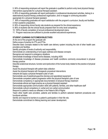5. 90% of responding employers will report the graduate is qualified to perform entry level physical therapy interventions appropriate for a physical therapist assistant.

6. 85% of responding graduates will report participation in professional development activities, belong to a state/national physical therapy professional organization, and/ or engage in continuing education appropriate for a physical therapist assistant.

7. 90% of responding graduates will report satisfaction with the program's curriculum, faculty and facilities in their academic preparation.

8. 90% of responding clinical faculty rate students as prepared for the clinical experience.

9. 90% of students rate the clinical faculty prepared them for entry level competency.

10. 100% of faculty completion of annual professional development plans.

11. Program resources are sufficient to provide excellent educational experiences.

#### **STUDENT LEARNING OUTCOMES/OBJECTIVES**

At the end of the program the graduate will:

Define scope of practice for PTs and PTAs

Describe basic concepts related to the health care delivery system including the role of other health care providers and facilities.

Identify principles of levels of authority and responsibility.

Demonstrate an understanding of and apply wellness and disease concepts

Recognize and respond to emergency situations

Demonstrate knowledge of blood borne diseases, including AIDS

Demonstrate knowledge of disease processes and health conditions commonly encountered in physical therapy practice

Describe anatomical structure, function and dysfunction of the human body related to the practice of physical therapy

Assist the physical therapist with patient data collection

Assist the physical therapist with therapeutic procedural interventions

Interpret and apply a physical therapist's plan of care

Demonstrate use of assistive/supportive devices and specialized equipment

Demonstrate competent patient progression within the physical therapist's plan of care

Demonstrate competency in appropriate documentation of physical therapy treatment

Demonstrate ethical and legal practice as a physical therapist assistant

Demonstrate appropriate communication skills with patients, families, and other healthcare staff

Demonstrate cultural competency in verbal and non-verbal communication

Respond to patient's needs as reflected in the Patient's Bill of Rights

Teach other health care providers, patients and families to perform selected treatment procedures and functional activities

Identify and respond to barriers to a patient's participation in their life role.

Demonstrate commitment to lifelong learning and career development.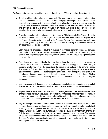#### **PTA Program Philosophy**

The following statements represent the program philosophy of the PTA faculty and Advisory Committee:

- The physical therapist assistant is an integral part of the health care team and provides direct patient care under the direction and supervision of a licensed physical therapist. The physical therapist assistant may be employed in a variety of settings in which his/her role is to actively assist the physical therapist in the treatment of patients with various impairments and functional limitations. The physical therapist assistant is involved in promoting awareness of the profession and an interdisciplinary approach to health through education of the patient, family and community.
- A physical therapist assistant adheres to the Standards of Ethical Conduct of the Physical Therapist Assistant, Guide for Conduct of the Physical Therapist Assistant, and Direction and Supervision of the Physical Therapist Assistant set forth by the American Physical Therapy Association and abides by the laws governing practice. The program is committed to instilling in its students a sense of professionalism and clinical excellence.
- Learning is a life-long process, resulting in changes in knowledge, behavior, values, and attitudes. Learning takes place most readily when concepts are covered in a logical sequence and progress in difficulty from simple to complex. The ability to learn is influenced by individual life experiences and one's potential.
- Education provides opportunities for the acquisition of theoretical knowledge, the development of psychomotor skills, and the refinement of values and attitudes in support of SABER College's workforce productivity effort. The student and the instructor are partners in the learning process. The instructor facilitates learning by constructing experiences to promote the achievement of course/program outcomes. The student acquires significant learning through responsible and active participation. Learning should result in the ability to problem solve and think critically. Student educational achievement is evaluated by measurement of the attainment of course and program outcomes.
- Learning is more likely to occur in an atmosphere in which students feel respected and accepted. Positive feedback and success build confidence in the learner and encourage further learning.
- Physical therapist assistant education responds to the changes in healthcare and incorporates those changes into its curriculum, allowing the graduate to meet the needs of the healthcare consumer. In response to changing health-care patterns, physical therapist assistant education and community agencies collaborate to form partnerships for the education of the entry-level PTA.
- Physical therapist assistant education should provide a curriculum which is broad based, both enriching life and serving as a basis for further study. A scientifically based curriculum coupled with a strong clinical component and emphasizing the humanistic aspects of physical therapy is necessary to give the students the foundation they require to provide quality health care and thereby fulfill the needs of the community. Individuals who meet the educational requirements of the program will be eligible to take the National Physical Therapist Assistant Examination (NPTAE) for Physical Therapist Assistants upon graduation and will be prepared to competently provide interventions within a plan of care at the entry level.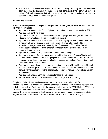• The Physical Therapist Assistant Program is dedicated to utilizing community resources and values active input from the community it serves. The clinical component of the program will provide a variety of clinical experiences that will broaden vocational options and enhance the students' personal, social, cultural, and intellectual growth.

#### **Entrance Requirements**

#### **In order to be accepted into the Physical Therapist Assistant Program, an applicant must meet the following requirements:**

- Applicant must submit a High School Diploma (or equivalent in their country of origin) or GED.
- Applicant must be 18 yrs. of age.
- Applicant must score at the 11.0 level in mathematics, language and reading on the TABE Test. (Students with AA or higher degree of education are exempt)
- Applicant must submit official school transcripts documenting any previous academic work, with a minimum GPA of 2.0 average or better on a 4.0 scale, from an educational institution accredited by an agency that is recognized by the US Department of Education. This will include applicants requesting credit for general education courses previously taken at the associate degree level or higher.
- Applicant must submit a college application including a writing sample
- Applicant must successfully complete a personal oral interview with the Program Director and or an administrative representative of the program in order to evaluate the applicant's ability to communicate satisfactorily as required by the health care delivery system. The interviewer must recommend applicant for admission
- Applicant must submit three letters of recommendation either from a Physical Therapist, Physical Therapist Assistant, previous instructor, or from a current/past employer. Letters must have contact information of person writing recommendation, such as name, signature, phone number and address.
- Applicant must undergo a criminal background check and drug screen.
- Perform and submit proof of 20 observation hours in a Physical Therapy setting

Completion of all application requirements does not guarantee acceptance into the PTA program. Maximum enrollment for each cohort is capped at 24 students. Enrollment into the program is limited and competitive. Final selection for the program is determined by the SABER College PTA Program Director and Admissions Committee based on consideration of all components of the application process. If the criminal background check reveals a felony conviction, you will not be accepted into the program because you will be unable to complete the clinical education portion of the program.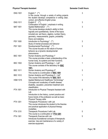| <b>ENG 1001</b> | English $\binom{**}{*}$<br>In this course, through a variety of writing projects<br>the student develops competence in writing clear,                                                                                                    | 3 |
|-----------------|------------------------------------------------------------------------------------------------------------------------------------------------------------------------------------------------------------------------------------------|---|
|                 | correct, and effective English prose.                                                                                                                                                                                                    |   |
| <b>ENG 1011</b> | English $\mathsf{II}^*$ (**)                                                                                                                                                                                                             | 3 |
| <b>MAT 1001</b> | Continuation of English I, emphasis in writing.<br>Applied Mathematics* (**)<br>This course develops student's ability to think<br>logically and quantitatively. Some of the topics<br>included are: set theory, algebra, number theory, | 3 |
|                 | geometry, measurements, graphs, probability                                                                                                                                                                                              |   |
| <b>PSY 1000</b> | theory and statistics.<br>Introduction to Psychology* (**)                                                                                                                                                                               | 3 |
| <b>PSY 1001</b> | Study of mental processes and behavior<br>Developmental Psychology* (**)<br>This course focuses on the nature of human<br>behavior as a dynamic developmental                                                                            | 3 |
| <b>BSC 1001</b> | phenomenon.<br>Human Anatomy and Physiology I*<br>This course provides a basic understanding of the                                                                                                                                      | 3 |
| <b>BSC 1002</b> | human body, its systems and their functions.<br>Human Anatomy and Physiology I - Lab*<br>This course consists of the laboratory for <b>BSC</b>                                                                                           | 1 |
| <b>BSC 1011</b> | 1001.<br>Human Anatomy and Physiology II*                                                                                                                                                                                                | 3 |
| <b>BSC 1012</b> | This course is a continuation of BSC 1001<br>Human Anatomy and Physiology II - Lab*<br>This course if the laboratory for <b>BSC 1011</b>                                                                                                 | 1 |
| <b>HSM 1015</b> | Applied Medical and Healthcare Terminology*<br>Concepts and vocabulary of health disease,<br>disability, causation, prevention treatment and                                                                                             | 3 |
| PTA 1001        | classification.<br>Introduction to Physical Therapist Assistant with<br>Lab<br>Introduction to the history, current practice and<br>future trends of the profession as well as basic                                                     | 5 |
| <b>PTA 1201</b> | <b>Physical Therapy skills</b><br>Therapeutic Procedures I with Lab<br>This course introduces the student to the theories<br>and practical application of physical therapy<br>modalities.                                                | 5 |
| <b>PTA 1210</b> | Therapeutic Procedures II with Lab                                                                                                                                                                                                       | 5 |
| <b>PTA 1301</b> | This course is a continuation of PTA 1201<br>Therapeutic Exercise with Lab<br>Introduces foundational concepts of therapeutic<br>exercise. Use and maintenance of a variety of<br>exercise equipment.                                    | 5 |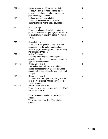| <b>PTA 1401</b> | Applied Anatomy and Kinesiology with Lab<br>This course covers anatomical structures and<br>movements of primary body joints as related to<br>physical therapy procedures                                      | 4 |
|-----------------|----------------------------------------------------------------------------------------------------------------------------------------------------------------------------------------------------------------|---|
| <b>PTA 1501</b> | Test and Measurements with Lab<br>This course focuses on the fundamental<br>examination skills in physical therapy practice                                                                                    | 5 |
| PTA 1601        | Pathophysiology<br>This course introduces the student to disease<br>processes and disorders, placing special emphasis<br>on conditions most commonly treated in physical<br>therapy                            | 3 |
| <b>PTA 1701</b> | Rehabilitation with Lab<br>This course is designed to develop skill in and<br>understanding of the underlying principles of<br>advanced physical therapy plans of care including<br>motor learning principles. | 5 |
| <b>PTA 1901</b> | <b>Clinical Experience I</b><br>Beginning clinical experience in a supervised<br>patient care setting. Introductory experience in the<br>application of skills learned.                                        | 3 |
| <b>PTA 1902</b> | <b>Clinical Experience II</b><br>Intermediate level clinical experience in the<br>application of academically acquired knowledge<br>under the direct supervision of a licensed physical<br>therapist.          | 4 |
| <b>PTA 1903</b> | <b>Clinical Experience III</b><br>Advanced level clinical placement designed to be<br>an in depth experience in the delivery of physical<br>therapy services.                                                  | 5 |
| <b>PTA 2000</b> | <b>Review Course for NPTAE</b><br>This course is a preparation course for the NPTAE<br>and job related skills                                                                                                  | 1 |
|                 | Those courses which reflect an (*) are Gen Ed<br>courses.<br>Those courses which reflect (**) are Online<br>Courses                                                                                            |   |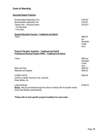## <span id="page-26-0"></span>**Costs of Attending**

## **Associate Degree Programs**

| Nonrefundable Registration Fee<br>Nonrefundable Application Fee<br>Testing Fees - Entrance Exams<br>* Per Semester<br>** Per Exam                        | \$100.00*<br>$$50.00*$<br>$$50.00**$          |
|----------------------------------------------------------------------------------------------------------------------------------------------------------|-----------------------------------------------|
| <b>General Education Courses - Traditional and Hybrid</b><br>Tuition                                                                                     | \$565.00<br>per<br>Semester<br>Credit<br>Hour |
| <b>Physical Therapist Assistant - Traditional and Hybrid</b><br>Professional Nursing Program (PNP) – Traditional and Hybrid                              |                                               |
| Tuition                                                                                                                                                  | \$565 per<br>Semester<br>Credit<br>Hour       |
| <b>Skills Lab Fees</b><br><b>Materials and Supplies</b>                                                                                                  | \$500.00*<br>\$300.00                         |
| <b>OTHER COSTS:</b><br>Uniforms, Liability Insurance, IDs, Lanyards,<br>Water Bottles, etc.                                                              | \$300.00                                      |
| <b>Lippincott Books</b><br><b>Books-</b> May be purchased through the school or directly with the specific vendor<br>(must meet Syllabus specifications) | \$1546.23                                     |

**\*Please refer to each specific program handbook for exact costs.**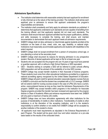## <span id="page-27-0"></span>**Admissions Specifications**

- The institution shall determine with reasonable certainty that each applicant for enrollment is fully informed as to the nature of the training provided. The institution shall advise each applicant prior to admission to ensure that applicant understands the program's responsibilities and demands.
- The institution shall consistently and fairly apply its admission standards as published. It determines that applicants understand such standards and are capable of benefiting from the training offered, and that applicants rejected did not meet such standards. The institution shall ensure that each applicant admitted has the proper qualifications, abilities, and skills necessary to complete the training, and shall ensure, and maintain documentation to demonstrate that each applicant meets all admission requirements.
- SABER College shall not deny admission or discriminate against students enrolled at the institution on the basis of race, creed, color, sex, age, disability, or national origin. Institutions must reasonably accommodate applicants and students with disabilities to the extent required.
- SABER College shall not accept enrollment from a person of compulsory school age, or one attending a school at the secondary level.
- SABER College shall document its reasons for denying admission to any prospective student. Records of denied applicants will be kept on file for at least one year.
- Students who are accepted into the program who are 16 years of age must have parental or guardian approval; with or without a High School Diploma or GED equivalent.
- GED Students wishing to complete a GED will be referred to public schools offering GED preparation and will be advised of the availability of on-line GED courses.
- SABER College may accept transfer students in their Associate of Science programs. These students must come from other educational institutions accredited by a regional or national accrediting agency recognized by the United States Department of Education. SABER College will grant credit for general education (associate degree) courses that are in SABER's curriculum and that the student has completed with a 2.0 (C) average. SABER will not extend credit for nursing courses except in the case of LPNs who have a current, active, unencumbered license as long as they meet the Admission Requirements of the program. SABER may accept transfers within programs in the institution for Associate Degree programs provided the transfer has been reviewed and approved by the program director or Dean of Academic Affairs and entrance requirements have been met. SABER will only grant a maximum of twenty (20) credits.
- SABER College does not have articulation agreements with other institutions for the purpose of transferability of credits to other institutions. Transferability of credits to other institutions is at the discretion of the accepting institution, and it is the student's responsibility to confirm whether or not credits from SABER College will be accepted by another institution of the student's choice.
- All applicants must meet requirements as stipulated in the Entrance Requirements of each Program. The student will be given clock hour and tuition reduction on a pro-rata basis based on the results of the conducted check.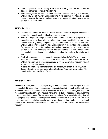- Credit for previous clinical training or experience is not granted for the purpose of accepting transfer students into the programs.
- SABER College does not accept transfer students for their vocational programs, however, SABER may accept transfers within programs in the institution for Associate Degree programs provided the transfer has been reviewed and approved by the program director or Dean of Academic Affairs.

#### **General Guidelines**

- Applicants are interviewed by an admissions specialist to discuss program requirements and content, student's goals and brief overview of manual.
- SABER College may accept students in their Associate of Science program. These students must come from other educational institutions accredited by a regional or national accrediting agency recognized by the United States Department of Education. SABER College may accept transfers within program in the institution for Associate Degree provided the transfer has been reviewed and approved by the program director or Dean of Academic Affairs and entrance requirements have been met. The student will be given tuition reduction on a pro-rata basis based on the results of the administered test.
- Credit will be granted for general education courses that are in SABER's curriculum only, when a student submits an official transcript with a minimum GPA of 2.0 in a 4.0 scale. SABER may grant up to a maximum amount of twenty (20) credits. Institution may not accept more than 25% transfer credits.
- In case a student's lap top is damaged and there is a need by the student to use one, SABER College will be able to provide a lap top with proof that student's lap top is being repaired. This loan will not be longer than fifteen (15) days.

#### **Reduction of Tuition**

A reduction in tuition, fees, or other charges may be implemented when there are specific criteria for student eligibility and selection procedures precisely disclosed within a policy at the institution. All students within the enrollment period that the reduction is offered must be eligible to apply for this reduction under the same circumstance; however there shall be no reduction based upon the timing or method of payment. The institution must maintain verifiable records including detailed and complete data when students are granted a bona fide reduction in tuition or fees. This must include copies of all application records, notes of selection committee meetings, and copies of notices to the student who received the reduction. This information shall be kept on file at the institution.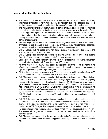## **General School Checklist for Enrollment**.

- The institution shall determine with reasonable certainty that each applicant for enrollment is fully informed as to the nature of the training provided. The institution shall advise each applicant prior to admission to ensure that applicant understands the program's responsibilities and demands.
- The institution shall consistently and fairly apply its admission standards as published. It determines that applicants understand such standards and are capable of benefiting from the training offered, and that applicants rejected did not meet such standards. The institution shall ensure that each applicant admitted has the proper qualifications, abilities, and skills necessary to complete the training, and shall ensure, and maintain documentation to demonstrate that each applicant meets all admission requirements.
- SABER College shall not deny admission or discriminate against students enrolled at the institution on the basis of race, creed, color, sex, age, disability, or national origin. Institutions must reasonably accommodate applicants and students with disabilities to the extent required.
- SABER College shall not accept enrollment from a person of compulsory school age, or one attending a school at the secondary level.
- SABER College shall document its reasons for denying admission to any prospective student. Records of denied applicants will be kept on file for at least one year.
- Students who are accepted into the program who are 16 years of age must have parental or guardian approval; with or without a High School Diploma or GED equivalent.
- Ability to Benefit (ATB) SABER shall assess the applicant's ability to benefit, by means of the Wonderlic Assessment Test for any vocational programs, if the applicant cannot furnish evidence of high school graduation, general equivalency diploma or equivalent.
- GED Students wishing to complete a GED will be referred to public schools offering GED preparation and will be advised of the availability of on-line GED courses.
- SABER College may accept transfer students in their Associate of Science program. These students must come from other educational institutions accredited by a regional or national accrediting agency recognized by the United States Department of Education. SABER College will grant credit for general education (associate degree) courses that are in SABER's curriculum and that the student has completed with a 2.0 (C) average. SABER may accept transfers within the program in the institution for the Associate Degree program provided the transfer has been reviewed and approved by the program director or Dean of Academic Affairs and entrance requirements have been met. SABER will only grant a maximum of twenty (20) credits. Institution may not accept more than 25% transfer credits.
- SABER College does not have articulation agreements with other institutions for the purpose of transferability of credits to other institutions. Transferability of credits to other institutions is at the discretion of the accepting institution, and it is the student's responsibility to confirm whether or not credits from SABER College will be accepted by another institution of the student's choice.
- All applicants must meet requirements as stipulated in the Entrance Requirements of the Program. The student will be given tuition reduction on a pro-rata basis based on the results of the administered test.
- SABER may accept transfers within the program in the institution for the Associate Degree program provided the transfer has been reviewed and approved by the program director or Dean of Academic Affairs.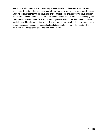A reduction in tuition, fees, or other charges may be implemented when there are specific criteria for student eligibility and selection procedures precisely disclosed within a policy at the institution. All students within the enrollment period that the reduction is offered must be eligible to apply for this reduction under the same circumstance; however there shall be no reduction based upon the timing or method of payment. The institution must maintain verifiable records including detailed and complete data when students are granted a bona fide reduction in tuition or fees. This must include copies of all application records, notes of selection committee meetings, and copies of notices to the student who received the reduction. This information shall be kept on file at the institution for on site review.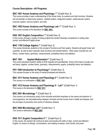## <span id="page-31-0"></span>**Course Descriptions –All Programs**

## **BSC 1001 Human Anatomy and Physiology I \*\*** (Credit Hour 3)

This course provides a basic understanding of the human body, its systems and their functions. Students will concentrate on these body systems: skeletal system, integument system, cardiovascular system, muscular system, nervous system, and cells.

## **BSC 1002 Human Anatomy and Physiology Lab I \*\*** (Credit Hour 1)

This course consists of the laboratory for **BSC 1001.**

## **ENG 1001 English Composition I \*\* (**Credit Hour 3)

In this course, through a variety of writing projects the student develops competence in writing clear, correct, and effective English prose.

## **MAC 1105 College Algebra \*\*** (Credit Hour 3)

This course introduces students to the concept of functions and their graphs. Students will graph linear and quadratic, as well as learn absolute value functions and transformations. Other topics included are: set theory, number theory, geometry, measurements, probability theory and statistics.

## **MAT 1001 Applied Mathematics\*\*** (Credit Hour 3)

This course develops student's ability to think logically and quantitatively. Some of the topics included are: set theory, algebra, number theory, geometry, measurements, graphs, probability theory and statistics.

## **PSY 1000 Introduction to Psychology\*\*** (Credit Hour 3)

This courses focuses on the study of mental processes and behavior.

## **BSC 1011 Human Anatomy and Physiology II \*\*** (Credit Hour 3)

This course is a continuation of **BSC 1001**

## **BSC 1012 Human Anatomy and Physiology II – Lab<sup>\*\*</sup> (Credit Hour 1)**

This course is the laboratory for **BSC 1011**

## **BSC 2001 Microbiology \*\*** (Credit Hour 3)

This course is an introductory study of the microbial worldwith emphasis on the nature and behavior of microorganisms, the interrelationships between microbes and the human host in health and disease, and the principles of prevention and control of infectious disease.

## **BSC 2002 Microbiology Lab\*\*** (Credit Hour 1)

This course is laboratory for **BSC 2001**

## **ENG 1011 English Composition II \*\*** (Credit Hour 2)

In this course, the student will continue to learn and practice the skills of clear, correct and effective English, by means of writings, conversations, and reading of essays, short stories, and poem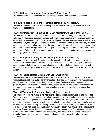## **PSY 1001 Human Growth and Development\*\*** (Credit Hour 3)

This course focuses on the nature of human behavior as a dynamic developmental phenomenon.

## **HSM 1015 Applied Medical and Healthcare Terminology** (Credit Hour 3)

This courses focuses on concepts and vocabulary of health disease, disability, causation, prevention treatment and classification.

## **PTA 1001 Introduction to Physical Therapist Assistant with Lab** (Credit Hours 5)

This course introduces students to the historical background, philosophy and goals of physical therapy as a profession. It incorporates discussion on legal and ethical issues, educational requirements, supervisory relationships between the Physical Therapist and the Physical Therapist Assistant, the role and scope of practice of the Physical Therapist Assistant, and current developments related to physical therapy. Students gain knowledge and develop competency in basic physical therapy skills such as communication, documentation, taking vital signs, infection control, patient positioning and transfers, and safe wheelchair and gait training. Pathology, disease process, and pharmacology of the cardiovascular, respiratory, and hematologic systems is discussed.

## **PTA 1401 Applied Anatomy and Kinesiology with Lab** (Credit Hours 4)

This course is designed as part of a continuum in the application of clinical anatomy and kinesiology to facilitate analysis of functional movements including normal and abnormal posture and gait. The focus is on the relationship between joint and muscle structure and function. Students will gain knowledge and develop competency in assessment of body landmarks, palpation, joint motions, muscle actions, posture, and gait.

## **PTA 1501 Test and Measurements with Lab** (Credit Hours 5)

This course focuses on the fundamental examination skills in physical therapy practice. Students are introduced to data collection and the performance of objective tests and measures for the musculoskeletal, neuromuscular, cardiopulmonary, and integumentary systems. Students develop competency in goniometry, manual muscle testing, sensory testing, upper motor neuron tests, balance and coordination tests, and integumentary, cardiopulmonary, and neurological assessments related to the supervising physical therapist's plan of care.

#### **PTA 1201 Therapeutic Procedures I with Lab** (Credit Hours 5)

This course introduces the student to the theories and practical application of physical therapy modalities. The course explains important concepts including inflammation and healing, pain, muscle tone, and motion restrictions which are the primary reasons for the use of modalities. The physiological effects, indications, contraindications, precautions, types, and parameters of patient care interventions discussed in this course are presented. Students develop competency in commonly used modalities in physical therapy practice such as: superficial heat modalities, cryotherapy, traction, compression, hydrotherapy, and ultrasound and the stages of wound healing. Pathology, disease process, and pharmacology of the integumentary system, as well as infectious diseases, immunology, and oncology is discussed. This course explains important concepts of wound care including wound types and stages of healing. Applications of wound care techniques are included.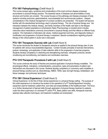## **PTA 1601 Pathophysiology** (Credit Hours 3)

This course reviews signs, symptoms and complications of the most common disease processes encountered in physical therapy practice. The essential nature of diseases and abnormalities of body structure and function are covered. The course focuses on the pathology and disease processes of body systems including endocrine, gastrointestinal, musculoskeletal and neuromuscular systems. Lifespan considerations in the medical management of covered conditions are presented. The student will become familiar with the standardized terminology used in physical therapy. The role of physical therapy and the interaction between the medical, therapy, and family members of the health care team in the lifespan management of patient populations is emphasized. Basic Pharmacology is included which includes instruction about medications commonly encountered in physical therapy and their effects on different body systems. The implications of laboratory lab values, medical equipment and lines, and diagnostic testing in modification and progression of physical therapy is explained. Special considerations regarding physical therapy of the critical patient in acute care is discussed.

## **PTA 1301 Therapeutic Exercise with Lab** (Credit Hours 5)

This course introduces the student to therapeutic exercise as applied to the physical therapy plan of care for patients with various musculoskeletal diagnoses. Content includes principles of exercise interventions, posture, kinesiology, and application of data collection skills to the progression of exercise programs. Students develop competency in stretching and strengthening exercises, orthopedic protocols, aerobic conditioning and reconditioning, and balance and coordination exercises.

## **PTA 1210 Therapeutic Procedures II with Lab** (Credit Hours 5)

This course continues the study of theories and practical application of physical therapy modalities. The physiological effects, indications, contraindications, precautions, types and parameters of patient care interventions are discussed in this course. Students develop competency in commonly used modalities in physical therapy practice such as: electrotherapy, NMES, TENS, laser and light therapy, biofeedback, soft tissue massage, and pulmonary techniques.

## **PTA 1901 Clinical Experience I (Credit Hours 3)**

Clinical Experience I is the first of three clinical experiences in a physical therapy setting. The purpose of this initial experience is to introduce the student to the operations of a PT facility/department including equipment used for treatment, patient flow, and roles and responsibilities of the healthcare team. The focus is on further development of learned skills through application of physical therapy treatment to patients under the direct supervision of a licensed PT and/or PTA. Basic patient care skills, therapeutic exercise, selected data collection techniques, and treatment modalities are emphasized.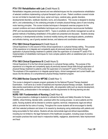## **PTA 1701 Rehabilitation with Lab** (Credit Hours 5)

Rehabilitation integrates previously learned and new skills/techniques into the comprehensive rehabilitation of selected conditions implementing a physical therapist's plan of care. Patient conditions covered include but are not limited to traumatic brain injury, spinal cord injury, cerebral palsy, genetic disorders, developmental disorders, vestibular disorders, burns, and amputations. This course is designed to develop skill in, and understanding of, the underlying principles of complex physical therapy plans of care including motor learning principles. This course includes techniques in therapeutic exercise programs for the covered conditions and neuro-rehabilitation techniques such as proprioceptive neuromuscular facilitation (PNF) and neurodevelopmental treatment (NDT). Topics in prosthetic and orthotic management as well as general methods of facilitating rehabilitation of the patient are presented and discussed. Students develop competency in developmental activities, functional mobility training with neurological patients, prosthetics and orthotics training, use of gravity assisted devices, and balance and coordination exercises.

## **PTA 1902 Clinical Experience II** (Credit Hours 4)

Clinical Experience II is the second of three clinical experiences in a physical therapy setting. The purpose of this experience is to integrate and competently apply all previously learned clinical skills through application of physical therapy treatment to patients under the supervision of a licensed PT and/or PTA. Implementation of rehabilitation techniques for more complex patients within an established plan of care is emphasized.

## **PTA 1903 Clinical Experience III** (Credit Hours 5)

Clinical Experience III is the final clinical experience in a physical therapy setting. The purpose of this experience is to integrate and competently apply all previously learned clinical skills through application of physical therapy treatment to patients under the supervision of a licensed PT and/or PTA at entry-level. The emphasis of this experience is to integrate special topics, clinical management and current health care issues into the delivery of a comprehensive physical therapy treatment program.

## **PTA 2000 Review Course for NPTAE** (Credit Hour 1)

This course is designed to prepare program graduates for the National Physical Therapy Assistant Examination. It will serve as a review of essential and important physical therapy concepts. Students will take practice examinations and learn test taking skills. Job preparation skills such as resume development, interview skills, professionalism in the workplace, and the requirements for life-long learning are also included.

## **NURS 1001 Fundamentals of Nursing** (Credit Hour 4)

This course presents a challenge to students to cultivate the Quality and Safety Education for Nurses (QSEN), critical thinking, blended skills—practiced within the nursing process—to serve patients and the public. Nursing students will be directed to combine cognitive, technical, interpersonal, legal and ethical skills to promote the four aims of nursing. Throughout the course students will be encouraged to identify with their selected profession and share in its rewards by developing caring relationships with patients and being accountable for their actions. Students will also demonstrate legal and ethical responsibilities, including but not limited to: the legal framework of the healthcare occupation, including scope of practice, and explain practices that could result in malpractice liability, negligence, abandonment, false imprisonment and fraud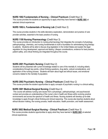## **NURS 1002 Fundamentals of Nursing – Clinical Practicum** (Credit Hour 3)

This course provides the students an opportunity to apply what they have learned in **NURS 1001** at selected clinical experiences

## **NURS 1002-L Fundamentals of Nursing Lab** (Credit Hour 2)

This course provides students in the skills laboratory explanation, demonstration and practice of care provider activities, essential to the basic practice of nursing.

## **NURS 1100 Nursing Pharmacology** (Credit Hour 3)

This course provides an introduction to nursing pharmacology that integrates the concepts of physiology, pathophysiology, chemistry, and nursing fundamentals to build a foundation for administering drug therapy to patients. Students will be able to discuss drug legislation in the United States and explain the legal regulation for drug development, approval and testing. Lifespan considerations, evidence for best practice, patient safety, and critical thinking are integrated throughout the course.

## **NURS 2001 Psychiatric Nursing** (Credit Hour 2)

Students will be presented with current knowledge related to care of the mentally ill, including elderly considerations through key points, critical thinking questions, drug alerts, cultural considerations, and application of the nursing process. Students will learn about legal and ethical issues, and emotional concerns related to the mentally ill population.

## **NURS 2002 Psychiatric Nursing – Clinical Practicum** (Credit Hour 2)

This course provides the student opportunities to apply concepts of psychiatric nursing in a clinical setting.

## **NURS 3001 Medical-Surgical Nursing** (Credit Hour 4)

This course will address nursing care issues from a physiologic, pathophysiologic, and psychosocial context and provides an understanding of the nurse's role in health and illness within evolving practice environments and across the spectrum of health and illness. Nursing students will develop up-to-date knowledge to apply through critical thinking and clinical reasoning. This course also teaches students about ethical decision making, the nursing process, health education, health promotion, and health assessment.

## **NURS 3002 Medical-Surgical Nursing – Clinical Practicum** (Credit Hour 3)

This course provides students opportunities to apply what they have learned in **NURS 3001** at selected clinical experiences.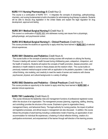# **NURS 1111 Nursing Pharmacology II** (Credit Hour 2)

This course is a continuation of NURS 1011. It integrates the concepts of physiology, pathophysiology, chemistry, and nursing fundamentals to build a foundation for administering drug therapy to patients. Students will be able to discuss drug legislation in the United States and explain the legal regulation for drug development, approval and testing

## **NURS 3011 Medical-Surgical Nursing II** (Credit Hour 3)

This course is a continuation of NURS 3001 and addresses nursing care issues from a physiologic, pathophysiologic, and psychosocial context.

## **NURS 3012 Medical-Surgical Nursing II – Clinical Practicum** (Credit Hour 2)

This course provides the students an opportunity to apply what they have learned in **NURS 3011** at selected clinical experiences.

# **NURS 5001 Obstetrics and Pediatrics** (Credit Hours 4)

This course builds on the concepts of previous nursing courses with emphasis on utilizing the Nursing Process in dealing with women's health focused during childbearing years, antepartum, intrapartum, and the health of newborns. Students will explore the concepts of health promotion, disease prevention, and alterations in health related to women in these phases and the newborn infant. This course builds on previously mastered medical-surgical content with an application to the pediatric population. It also utilizes critical thinking, role modeling, and creativity to meet the needs of women and newborns with diverse psychosocial, physical, and cultural backgrounds in a variety of settings

# **NURS 5002 Obstetrics and Pediatrics – Clinical Practicum** (Credit Hours 4)

This course provides an opportunity to the student to apply what they have learned in **NURS 5001** at selected clinical experiences.

# **NURS 7001 Leadership** (Credit Hours 2)

This course introduces the leadership roles and management functions of professional registered nurses within the structure of an organization. The management process (planning, organizing, staffing, directing, and controlling) provides the structure of the course. Emphasis is given to organization theory, management theory, and behavioral theory. The legal authority for nursing practice, the impact of political and legislative processes, and ethical issues in management are also discussed. In addition, this course follows the principles of adult learning including a collaborative model of learning, an appreciation of and accommodation for individual life experiences, a fostering of critical reflective thinking, creation of a participative environment, and empowerment of the learner through self-direction of the learning process.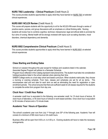# **NURS 7002 Leadership – Clinical Practicum** (Credit Hours 2)

This course provides students opportunities to apply what they have learned on NURS 7001 at selected clinical experiences.

## **NURS 8001 NCLEX Review** (Credit Hours 3)

This course will prepare students with the opportunity to sit for the NCLEX-RN exam through a series of practice exams, quizzes, and group discussions with an emphasis on critical thinking skills. Nursing students will review how to combine cognitive, technical, interpersonal, legal and ethical skills to promote the four aims of nursing. Mental health will be strongly reviewed with topics such as eating disorders, mood disorders, chemical dependency and dementia.

# **NURS 8002 Comprehensive Clinical Practicum** (Credit Hours 5)

This course provides students opportunities to apply what they have learned in NURS 8001 at selected clinical experiences

# **Class Starting and Ending Dates**

School is in session throughout the year except for holidays and vacations listed in the calendar.

Associate Degree Program will adhere to a Semester Schedule.

Program hours reflected in this Catalog represent instructional time. The student must take into consideration holidays/vacations listed in the school calendar when planning their time.

SABER College works on a lock-step cohort and based curriculum. When students matriculate, they choose a morning or evening schedule. From here, classes and schedules are set for all six terms. This encompasses start and end date for each term as well as eliminating the need for registration or open enrollment periods. The school ensures that there are sufficient seats for all classes required for the students to complete the entire form program from day one.

# **Clock Hour / Credit Hour Ratios**

A semester credit hour is equivalent to the following: one semester credit for 15 clock hours of lecture, 30 clock hours of laboratory, or 45 clock hours of clinical or work-based activities. Once clock hour is equivalent to 50 minutes of lecture and a 10 minute break.

# **Academic Year / Hours of Operation**

The school's academic year runs from July 1<sup>st</sup> through June  $30<sup>th</sup>$  of the following year. Academic Year will consist of a minimum of 900 clock hours or 24 credit hours.

Business office will be open from 9:00 a.m. to 4:00 p.m. Evening students will have to make the necessary arrangements.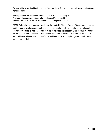Classes will be in session Monday through Friday starting at 9:00 a.m. Length will vary according to each individual course.

**Morning classes** are scheduled within the hours of 9:00 a.m. to 1:00 p.m. **Afternoon classes** are scheduled within the hours of 1:30 and 5:30 **Evening Classes** are scheduled within the hours of 6:00pm to 10:00 pm

SABER College is open every day except those days stated in "Holidays" Chart. If for any reason there are problems due to weather or in case of an emergency, students, faculty, and employees are informed of the situation by meetings, e-mail, phone, fax, or verbally. If classes are in session, Dean of Academic Affairs notifies teachers and students of decision that has been made. After school is closed, it is the students' responsibility to call the school at 305-443-9170 and listen to the recording letting them know if classes have been cancelled.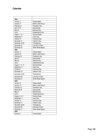# **Calendar**

.

| 2022               |                        |
|--------------------|------------------------|
| January 3          | Classes Begin          |
| January 17         | Martin Luther King Jr. |
| February 21        | President's Day        |
| April 14-15        | Spring Break           |
| May 30             | Memorial Day           |
| July 4             | Independence Day       |
| August 1 to 7      | Summer Break           |
| September 5        | Labor Day              |
| October 10         | Columbus Day           |
| November 11        | Veteran's Day          |
| November 24-25     | Thanksgiving           |
| December 21        | Last Day of Class      |
| December 22        | Winter Break Begins    |
| 2023               |                        |
| January 4          | Classes Begin          |
| January 16         | Martin Luther King Jr. |
| February 20        | President's Day        |
| April 6-7          | Spring Break           |
| May 29             | <b>Memorial Day</b>    |
| July 4             | Independence Day       |
| August 7 to 13     | Summer Break           |
| September 4        | Labor Day              |
| October 9          | Columbus Day           |
| November 10        | Veteran's Day          |
| November 23-24     | Thanksgiving           |
| December 20        | Last Day of Class      |
| December 21        | Winter Break Begins    |
| 2024               |                        |
| January 8          | Classes Begin          |
| January 15         | Martin Luther King Jr. |
| February 19        | President's Day        |
| <b>March 28-29</b> | Spring Break           |
| May 27             | <b>Memorial Day</b>    |
| July 4             | Independence Day       |
| August 5 to 11     | Summer Break           |
| September 2        | Labor Day              |
| October 14         | Columbus Day           |
| November 11        | Veteran's Day          |
| November 28-29     | Thanksgiving           |
| December 20        | Last Day of Class      |
| December 21        | Winter Break Begins    |
| 2025               |                        |
| January 6          | Classes Begin          |
|                    |                        |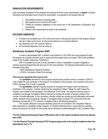# **GRADUATION REQUIREMENTS**

Upon successful completion of the program and meeting all of the course requirements, a **degree**, including transcripts and information sent to board for examination, is presented to the student that has:

- 1. Successfully achieved a passing grade.
- 2. Met required hours (minimum 90% rate) \*\*
- 3. Fulfilled all monetary obligations to the school and to the Department of Education (Exit Counseling).
- 4. Adhere to the requirements as listed in the Handbook.

# **EXCUSED ABSENCES**

- A student can be absent up to 10% of the clock hours in the payment period for the program without having to make up the hours, as long as the absence is an excused absence.
- Any absences over 10% must be made up.
- All unexcused absences must be made up.

# **Satisfactory Academic Progress (SAP)**

In order to demonstrate SAP, a student must maintain a 2.00 CGPA and must progress through the program at a specific minimum pace to ensure that the student does not exceed 150% of the published length of the Program ("Maximum Timeframe").

SAP is evaluated at the end of every semester in order to reestablish a student's eligibility to continue receiving federal financial aid funds for the next semester. The following abbreviations are used throughout this policy:

- (SAP) Satisfactory Academic Progress
- (CGPA) Cumulative Grade Point average

#### **There are two standards that must be met:**

The **qualitative** standard for each program requires that a student achieve a minimum CGPA of 2.00 or better for each semester in the program. At completion of the program, every student must have a CGPA of at least 2.00 in order to graduate.

The **quantitative** standard requires students to complete the Program within the Maximum Timeframe of the program. Transfer credits that are accepted by Saber College for credit toward the Program are included in the calculation of the Maximum Time Frame. The required minimum pace of completion percentage (Completion Rate) is derived by dividing the number of earned credits by the number of credits attempted. In this calculation, transfer credits are counted as both attempted and earned credits. Students must successfully maintain a Completion Rate of at least 77% by the end of the first Semester and maintain a 77% minimum Completion Rate in all following semesters.

The courses withdrawn during the add/drop period are not included in the Completion Rate as either attempted or completed credits. However, if a student withdraws from a course after the add/drop period has expired, the credits for that course will be included as credits attempted in the Completion Rate.

#### **\*For the Professional Nursing Program (RN) please refer to the student handbook where the passing rate is 80%**

**\* For the Physical Therapist Assistant (PTA) Program please refer to the student handbook where the absenteeism rate is 7%.**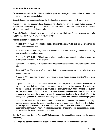# **Minimum CGPA Achievement**

Each student must achieve the minimum cumulative grade point average of 2.00 at the time of the evaluation in order to remain as a regular student.

Students' learning will be assessed using the developed set of competencies for each training area.

A series of quizzes will be administered throughout the school term in order to assess student progress. A written examination will be given at the completion of each course. The written portion of the examination will be graded based on the following scale:

Scholastic Standards: Quantitative requirements will be measured in terms of grades. Academic grades for students shall be "A", "B", "C", "D", "F", WF, "I" or "NP".

A brief explanation of grades will follow:

- A grade of "A" (90-100% 4.0) indicates that the student has demonstrated excellent achievement in the subject and/or the skills area.
- A grade of "B" (80-89.99% 3.0) indicates that the student has demonstrated good but not outstanding achievement in the academic area.
- A grade of "C" (77-79.99% 2.0) indicates satisfactory academic achievement and is the minimum level of acceptable performance in this program.
- A grade of "D" (69-76.99% 1.0) indicates a level of academic performance that is unsatisfactory. Course failed.
- A grade of "F" (68.99% or below 0.0) indicates that course was completed but student failed to achieve course objectives.
- A grade of "WF" indicates that course was not completed; student stopped attending/ limited class participation.
- A grade of "I" indicates that the performance is insufficient to permit an evaluation. Students in this category may have their grade adjusted upon presentation of the required assignments. This period may not exceed 60 days. For this grade to be awarded, the extenuating circumstances must be approved by the Dean of Academic Affairs or Director. **If a student does not provide the required documentation to receive a final grade for a course within the prescribed timeframe the grade of "I" shall be changed to a grade of "F". This can have a significant impact on a student's academic progress.**
- A grade of "NP" (NOT PASSING) indicates that the student has not met the score required for passing selected courses, however the student has still achieved a minimum grade of C or higher. The student will be required to retake the course to meet the program minimum grade requirement. Once the student achieves the course minimum grade requirement the original grade will be replaced and a note will be made to the transcript of the course retake.

**\*For the Professional Nursing Program (RN) please refer to the student handbook where the passing rate is 80%.**

**\*The Programs' Student Handbooks supersede rules and regulations found in this catalog**.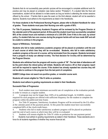Students that do not successfully pass periodic quizzes will be encouraged to complete additional work for practice and may be placed on probation (see below section "Probation"). If a student fails the final exit examinations, student will be allowed to re-take exams as long as he/she is attending the review sessions offered by the school. If he/she fails to pass the exam on the third attempt, student will not be awarded a diploma. Students must adhere to the requirements as listed in the Handbooks.

**For those students in the Professional Nursing Program, please refer to Student Handbook for value of grades. Those students must pass their Nursing core with a grade of 80%.**

**For Title IV purposes, Satisfactory Academic Progress will be reviewed by the Program Director at the calendar point of the payment period. At this point the student must have successfully completed 80% of the contact hours and maintain a minimum of a 2.00 GPA. Even if this is the case, by school policy, if a student fails two core courses during the program he/she will not have made SAP and will be unable to continue in the program.**

### *Impact of Withdraws, Termination*

**Students who fail to make satisfactory academic progress will be placed on probation until the end of each course at which time they will be re-evaluated. Students, who fail to make satisfactory academic progress at the end of a course, will be terminated from the program. Students terminated from a program of study can attempt re-entry. The final decision for re-entry will be determined by the Program Director.**

**Students who withdraw from the program will receive a grade of "W". The last date of attendance will be the point where the refund policy will initiate. Students will receive a W on their progress report and will be required to repeat the course. If the student has already repeated two courses they will not be able to continue in the program from the last point of completion.**

**SABER College does not award non-punitive grades, or remedial course work.**

**Students will remain eligible for Title IV while on probation.** 

**Students must adhere to grading requirements as stated in their Handbooks.**

### **Successful Rate of Progression**

1. Each student must meet minimum successful rate of completion at the evaluation periods in order to remain as a regular student.

2. A program may not be longer than 150% of its published length. At SABER, courses required for each program are offered with sufficient frequency for the student to complete the program within the publicized time frame.

3. For Title IV purposes, Satisfactory Academic Progress will be reviewed by the FA office at the calendar point of the payment period. At this point the student must have successfully completed 60% of the clock/credit hours.

4. Students who fail to make satisfactory academic progress will be placed on probation until the end of each course at which time they will be re-evaluated.

5. Students will remain eligible for Title IV while on probation for one payment period.

6. Students must adhere to grading requirements as stated in their Handbook. These standards are in force for all students regardless of whether they receive financial aid.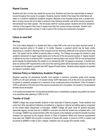# **Repeat Courses**

Students who fail a course may repeat the course once. Students only have two opportunities to repeat a course throughout the course of a program. Students must be mindful of the impact the initial failure will make on a student's satisfactory academic progress. Because of pre-requisite course work, a student who fails a nursing course will not be able to advance to the following semester until all the nursing courses for that semester have been passed. We will accept credit for courses passed. Students will not be allowed to continue in the program if they have to repeat more than two courses during a semester. Student must pass all general education courses in order to pass to the nursing core component of program.

### **Failure to meet SAP**

#### **Warning**

This is the status assigned to a student who fails to make SAP at the end of any given payment period. A standard payment period is 15 weeks or 12 credits. However, a payment period may be fewer credits depending on a student's standing in their program and the remaining credits left to be earned in his/her last term. The student will be notified of warning status in writing. The College encourages the student to seek academic advisement to regain regular status prior to the end of the next payment period. A "regular student" is defined as one who is achieving SAP. A student on warning status may receive FSA for one term/payment period despite the determination the student is not maintaining SAP. No appeal is necessary. A student who does not achieve SAP requirements by the end of the warning period will be dismissed unless he or she files an appeal and the appeal is granted (see SAP Appeal Process below). Students whose appeals are granted are placed in probation status.

## **Veterans Policy on Satisfactory Academic Progress**

Students receiving VA educational benefits must maintain a minimum cumulative grade point average (CGPA) of 2.00 each semester. A VA student whose CGPA falls below 2.00 at the end of any semester will be placed on academic probation for a maximum of two consecutive terms of enrollment. If the VA student's CGPA is still below 2.00 at the end of the second consecutive term of probation, the student's VA educational benefits will be terminated.

A VA student terminated from VA educational benefits due to unsatisfactory progress may petition the school to be recertified after attaining a CGPA of 2.00.

## **Transfer of Credit**

SABER College may accept transfer students in their Associate of Science program. These students must come from other educational institutions accredited by a regional or national accrediting agency recognized by the United States Department of Education. SABER College will grant credit for general education (associate degree) courses that are in SABER's curriculum and that the student has completed with a 2.00 (C) average. SABER may accept transfers within the program in the institution provided the transfer has been reviewed and approved by the program director or Dean of Academic Affairs and entrance requirements have been met. SABER will only grant a maximum of twenty (20) credits. A minimum of 25% of credits must be earned at SABER in order to earn a degree. Institution may not accept 25% transfer credits.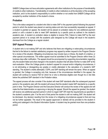SABER College does not have articulation agreements with other institutions for the purpose of transferability of credits to other institutions. Transferability of credits to other institutions is at the discretion of the accepting institution, and it is the student's responsibility to confirm whether or not credits from SABER College will be accepted by another institution of the student's choice.

# **Probation**

This is the status assigned to a student who fails to make SAP in the payment period following the payment period in which the student was placed on warning status and who has successfully requested an appeal. If a student is granted an appeal, the student will be placed on probation status for one additional payment period or until a student is able to meet SAP standards by a specific point as outlined in the student's academic plan. A student on probation status is eligible to receive FSA. Failure to make SAP by the next payment period or to comply with the academic plan designed by the College will result in the student's dismissal from the College as a regular student.

# **SAP Appeal Process**

A student who is not making SAP and who believes that there are mitigating or extenuating circumstances that led to the failure to maintain satisfactory progress may appeal by written request to the Program Director for a review of the situation. Mitigating circumstances may include injury or illness, the death of a relative, or other special circumstances. The written appeal must be submitted to the Program Director within three (3) business days after notification. The appeal should be accompanied by supporting documentation regarding why the student failed and what changed in the student's situation that will allow him/her to make SAP at the next evaluation. When the College grants a student's appeal for unusual and/or mitigating circumstances, it is not eliminating or disregarding any grades or credits attempted in the calculation of a student's SAP standing. The student's credits attempted, CGPA, and SAP standing will remain the same. When an appeal is granted, the College is accepting only that, because of the circumstances identified in the appeal, the student will continue to receive FSA for which he or she is otherwise eligible even though he or she falls below the published SAP standard in the Probation status.

The appeal process will also consider if the student will meet SAP standards after the subsequent payment period or the academic plan with the student will ensure that the student meets SAP standards by a specific point in time. The Program Director and the Executive Director will conduct the review of the appeal and will make the final determination on approving or denying the appeal. Should the appeal be granted, the student will receive one additional payment period in which to regain SAP OR meet the requirements as specified in the student's academic plan. If at the end of that period the student is still not making SAP, the student will be dismissed. Any decision resulting from the review of a mitigating circumstances appeal is final and may not be further appealed. The result of the appeal (approved or denied) will be provided to the student in writing and cataloged in the Student Information System. A student may be granted more than one probation period.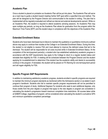# **Academic Plan**

Once a student is placed on probation an Academic Plan will be put into place. The Academic Plan will serve as a road map to guide a student toward meeting his/her SAP goal within a specified time and method. The plan will be designed by the Program Director and communicated to the student in writing. The plan that is implemented will be regularly evaluated and refined as internal and external developments warrant. While on an Academic Plan, the student is required to attend academic advising sessions. An Academic Plan may span multiple pay periods, so long as the Academic Plan allows for graduation from the program within the Maximum Time Frame (MTF) and the student stays in compliance with the objectives of the Academic Plan.

## **Extended Enrollment Status**

Students who have been dismissed due to failure to maintain the qualitative or quantitative minimums outlined above may apply to continue their studies at the College in an Extended Enrollment Status. During this time, the student is not eligible to receive FSA and must attempt to improve the deficient areas that led to the dismissal. The student will be responsible for all costs incurred while in Extended Enrollment Status. At the completion of this term/payment period(s), a student who has established satisfactory academic progress in accordance with the SAP requirements may apply to the College to return to a regular student status and reinstate their eligibility for FSA. A meeting will be scheduled between the Program Director and the student applying for re-establishment to determine if the student has the academic ability and desire to successfully continue in the program. If reinstated, the student will be placed on FA Warning for one term/payment period and will regain eligibility for FSA.

# **Specific Program SAP Requirements**

In addition to maintaining satisfactory academic progress, students enrolled in specific programs are required to maintain the minimum program standards as mentioned within the Admissions section or as stated in each program's handbook. Students who fail to maintain specific program requirements will not be permitted to continue their program of study. Additional Degrees For students who seek to earn additional degrees, only those credits from the prior degree or program that apply to the new degree or program are considered in calculating the student's progression toward maximum completion time restrictions. All courses taken while at SABER College, regardless of program, will be considered when calculating the student's cumulative GPA and minimum quantitative completion percentage.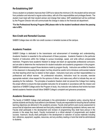# **Re-Establishing SAP**

Once a student on probation improves their CGPA at or above the minimum 2.00, the student will be removed from probation and returned to regular active status, with all of the responsibilities and privileges therein. The student must meet with their student advisor and change their status. SAP establishment will be confirmed by the Program Director who will communicate the change in status to the financial aid department.

**\*For the Professional Nursing Program (RN) please refer to the student handbook where the passing rate is 80%.**

## **Non-Credit and Remedial Courses**

SABER College does not offer non-credit courses or remedial courses at the campus.

## **Academic Freedom**

SABER College is dedicated to the transmission and advancement of knowledge and understanding. Academic freedom is essential to the achievement of these purposes. Academic freedom is the particular freedom of instructors within the College to pursue knowledge, speak, and write without unreasonable restriction. Programs have academic freedom to design and teach an appropriate professional curriculum, and are able to determine the mechanisms for student evaluation and academic progression in the program. SABER administrators support those decisions made by program faculty. Instructors are entitled to freedom in the classroom in discussing their subject, but they should be careful not to introduce controversial material into their teaching which has no relation to their subject. Instructors must carry out their responsibilities in a professional and ethical manner. As professional educators, instructors must be accurate, exercise appropriate restraint, show respect for the opinions of others, and make every effort to indicate they are not speaking for the institution. The principles of academic freedom shall not prevent the College from making the proper efforts to ensure the best possible instruction for all students in accordance with the mission and objectives of SABER College and/or the Program of study. Any instructor who believes that he/she has been denied academic freedom should follow SABER College's complaint and grievance procedures.

## **Academic Governance**

The faculty of SABER College shall participate in the administration of academic policy, ensuring that all policies students and faculty must adhere to are followed. Faculty are responsible for ensuring that all outlined learning objectives are delivered in the academic process. Faculty shall perform post course assessment to ensure that all objectives were delivered and that policy related to administering academic delivery were met. Faculty shall participate in the development and revision of programming they shall have prevue in the process in the areas they teach. Faculty involvement is a critical element of programmatic and student success. Inasmuch, faculty shall participate in the development or selection of course materials including text, reference, equipment, supplies, resources, and any ancillary reading or tools that shall be administered to students.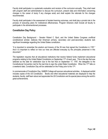Faculty shall participate in a systematic evaluation and revision of the curriculum annually. They shall meet with program staff and administration to discuss the curriculum, present data and information concerning changes in the career of study if any changes exist) and shall explain the rationale for the changes recommended.

Faculty shall participate in the assessment of student learning outcomes, and shall play a pivotal role in the process of executing plans for institutional effectiveness. Program Directors shall include all faculty to participate in the aforementioned processes.

## **Constitution Day Policy**

Constitution Day Background – Senator Robert C. Byrd, and the United States Congress unofficial constitutional scholar, believes that American primary, secondary and post-secondary students lack significant knowledge regarding the United States constitution.

"It is important to remember the wisdom and bravery of the 39 men that signed the Constitution in 1787." And it is important to reflect on how our lives are affected everyday by the principles preserved in this document."

The legislation requires that all educational institutions that receive federal funds implement educational programs relating to the United Stated Constitution on September  $17<sup>th</sup>$  of each year. This is the day that was selected as the date for celebration due to the fact that on September 17, 1787, the delegates to the Constitutional Convention met for the last time to sign the united State Constitution. When the 17<sup>th</sup> falls on a weekend date, Constitution Day will be celebrated on the Friday prior to the 17<sup>th</sup>.

In commemorate of Constitution Day, SABER College will sponsor educational activities. A displayed exhibit includes copies of the US Constitution. Books and other educational materials are displayed to help the students, faculty, staff learn about and appreciate the US Constitution and its special place among the world's great achievements.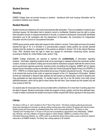## **Student Services**

## **Housing**

SABER College does not provide housing to students. Assistance with local housing information will be provided to students upon request

## **Student Records**

Student records are retained by the school permanently after graduation. They are available to students upon individual request. All information held in student's record is confidential. Students have the right to review their education records, to request amendment of records, to consent to disclosures of personally identifiable information and to file complaints with the Department of Education, the Commission for Independent Education and the Council on Occupational Education.

FERPA gives parents certain rights with respect to their children's records. These rights end when the student reaches the age of 18, or is enrolled in a post-secondary program unless parents can provide parental evidence that the student is a dependent of the parents as defined in Section 152 of the Internal Revenue Code, 1954. Students have the right to make any request for information concerning his/her records, according to Statute 20, United States Code, section 123g.

SABER College employees are required to maintain the **confidentiality** of information regarding students. Information regarding students shall not be exchanged or released without the individual's written consent. Access to coursework, testing and records shall be restricted to program staff with the need to know and to government agencies governing, licensing and/or accrediting the programs. SABER will not release student record information except as permitted under the Family Educational Rights Privacy Act (FERPA) of 1974. FERPA is a Federal Agency that protects the privacy of student educational records. The law applies to all schools that receive funds under an approved program of the U.S. Department of Education. Student records are maintained in fireproof safe cabinets and are backed up electronically; records of students who have graduated are kept electronically. If a student wants to see his or her file she/he must notify school staff/administrators, which will be glad to share his/her file with them. Each student and the student only will have access to their file.

If a student asks for transcripts they can be provided within a timeframe of no more than 5 working days from the date of request. Student's transcripts contain the program of study, grades, and time they attended class. In order to obtain a transcript the student must send a written request with his/her signature on the document.

# **Library**

The library is 500 sq. ft., and is located on the  $2^{nd}$  floor of the school. This library contains audio/visual resources, books and subscriptions to journals, as well as a library working area which contains 30 laptops with internet access. Student groups will have access to scheduled library time, and on line periodical search. The library is open Tuesdays and Thursdays from 11:00 am to 4:00 pm and is accessible by appointment every Wednesday. SABER has a librarian, who has a Master's of Science degree in Library Studies. SABER is a member of the Library Information Resources Network, Inc. (LIRN), which is an electronic library that provides access to electronic research resources to all SABER students. The library has a sitting capacity of 30 students.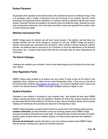## **Student Placement**

All graduates will be assisted by the student advisors with placement services at no additional charge. There is no guarantee, made or implied, of placement at the end of training, for any students. Records of initial employment of all graduates shall be maintained. Our institution reports its placement rate with each license renewal. Placement Services are available to all students without an additional charge. Although the school does not guarantee employment, school will make every effort to assist each graduate find a position suited to his/her training and needs.

### **Retention Improvement Plan**

SABER College reports its retention rate with each license renewal. If the retention rate falls below one standard deviation from the Florida average as computed for that year, SABER College will develop a retention improvement plan, approved by the Commission, which consists of retention personnel, retention activities, and additional data as approved by the Commission to show the effectiveness of the Retention Improvement rate. A progress report shall be filed with the Commission after the period designated by the Commission.

### **The School Catalogue**

Catalogues are available upon enrollment, online at www.sabercollege.edu and throughout the school year, upon request.

### **Voter Registration Forms**

SABER College makes available to all students who are at least 18 years of age and US citizen's voter registrations forms. Students can obtain the form at the Administrative office, or they can go to the web of the Florida Division of Election [\(http://election.dos.state.fl.us/\)](http://election.dos.state.fl.us/). You must be a registered voter in order to cast a ballot in the General Elections. SABER encourages all eligible students to register to vote.

### **Student Orientation**

Orientation of new students is conducted for each academic start. New students will learn about SABER College, including procedures, rules and regulations. Students will receive their program schedule and will get acquainted with the school facilities on the first day of class, when an orientation session will be provided. Catalogs and Handbooks will be provided one week prior to the beginning of class.

SABER College designates a properly trained individual to provide each of the following student services: **academic advisement**: provides information to new and continuing students about SABER College services and academic educational and career goals. The department also provides information to transfer students, guides students toward an academic pathway, and helps students determine their eligibility to graduate.

**Financial aid advisement:** provides information to new and continuing students about SABER College financial services, including loans, grants and methods of payment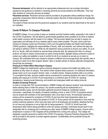**Personal advisement**: will be referred to an appropriate professional who can provides information, assistance and guidance to students in resolving personal and social problems and difficulties. They may refer students to community services as needed.

**Placement services**: Placement services shall be provided to all graduates without additional charge. No guarantee of placement shall be directly or indirectly implied. Records of initial employment of all graduates shall be maintained.

The extent of these services and the personnel assigned to our students shall be determined by the size of our institution.

# **Covid-19 Return To Campus Protocols**

At SABER College, it is our priority to keep our students and their families healthy, especially in the midst of the COVID-19 pandemic. We will abide by governmental guidelines when possible as we strive to balance public health concerns with the needs of our college. This document details how we plan to reopen our organization and still keep all of our students safe to every extent possible. This plan, which pulls from Centers for Disease Control and Prevention (CDC) and Occupational Safety and Health Administration (OSHA) guidance, highlights the responsibilities of faculty, staff, and students, and outlines the steps we are taking to address COVID-19. While we will implement various protocols to ensure your safety, it's up to all of us, faculty, staff and students to execute these protocols daily. By releasing this return to campus protocol, we hope to clearly communicate our plans moving forward, highlight campus protocols in place to protect your safety and establish a level of comfort for all of our students as we ask you to return to campus. We understand that every student's situation is different and encourage those with specific risks or concerns to reach out to their program director, dean or student advisor to discuss alternate arrangements, should they be necessary.

#### *Protocols to Follow When Returning to Campus*

SABER College has implemented various protocols designed to preserve the health and safety of our students as they return to campus. This section further explains these protocols. For additional information, please reach out to your program director, dean, or student advisor. Keeping students safe is our priority. To accomplish this task, we have created various procedures for screening students who return to campus, dealing with exposure to COVID-19 and responding to a confirmed case of COVID-19, reporting transparency, keeping social distancing, and student and employees health and safety protocols.

#### *Student Screening Protocols*

In order to comply with CDC recommendations, SABER College will measure students' body temperatures before allowing them to enter the campus. Any student screening will be implemented on a nondiscriminatory basis, and all information gathered should be treated as confidential medical information—specifically, the identity of students exhibiting a fever or other COVID-19 symptoms should only be shared with members of the administration with a true need to know. All individuals reporting to campus will be screened for symptoms of COVID-19 and have their body temperature taken as a precautionary measure to reduce the spread of COVID-19. Every person will be expected to have read the posted screening questions, which have also been sent to all employees and students, attesting that they do not have any symptoms or are at high risk for being exposed to COVID-19. All will have their temperature taken before being permitted to enter the campus premises. Individuals should report to the designated site for screening prior to entering any other areas of SABER College property. Anyone with a temperature in excess of 100.4 degrees will be prohibited from coming onto campus. The College will designate a specific person(s) to perform the COVID-19 screening. Personal Protective Equipment (PPE) will be provided to this person to protect against exposure. Confidentiality will be protected during the screening process.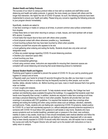#### *Student Health and Safety Protocols*

The success of our return to campus protocol relies on how well our students and staff follow social distancing and health and safety protocols. In general, the more closely you interact with others and the longer that interaction, the higher the risk of COVID-19 spread. As such, the following protocols have been implemented to ensure your health and safety. Please bring any concerns regarding the following protocols to your program director immediately.

Specifically, students are asked to:

• Use face coverings or masks on campus at all times, to prevent common area surface contamination from droplets.

• Keep these items on hand when returning to campus: a mask, tissues, and hand sanitizer with at least 60% alcohol, if possible.

- Avoid tasks that require face-to-face work with others when possible.
- Avoid physical contact with others whenever possible (e.g., handshakes).
- Avoid touching surfaces that may have been touched by others when possible.
- Distance yourself from anyone who appears to be sick.

• Avoid gathering when entering and exiting the facility. Students should also only enter and exit designated areas.

- Follow any posted signage regarding COVID-19 social distancing practices.
- Disinfect your classroom space often.
- Avoid touching your face.
- Avoid nonessential gatherings.

• Avoid using common areas. Instructors are responsible for ensuring their classroom spaces are compliant with social distancing and ensuring that social distancing protocol is maintained.

#### *General Student Health and Hygiene*

Practicing good hygiene is essential to prevent the spread of COVID-19. Do your part by practicing good hygiene on campus and at home.

• Regularly wash your hands for at least 20 seconds throughout the day after you have been in a public place and touched an item or surface that may be frequently touched by other people, such as door handles, tables, elevator buttons, etc. Before touching your eyes, nose or mouth because that's how germs enter our bodies.

• Cover coughs and sneezes.

• Avoid touching your eyes, nose and mouth. To help students remain healthy, the College has hand sanitizer and disinfecting wipes available throughout the buildings. It is suggested that students wash their hands more frequently than normal. In addition, students are required to wear face coverings at all times and keep a physical distancing of 6 feet or more when possible. Students will provide their own face coverings in accordance with CDC guidelines. It is required that students wear face coverings when entering and exiting the building and when using common areas such as hallways, elevators, stairwells, and bathrooms. Finally, students who are feeling sick, experiencing COVID-19 symptoms, tested positive for COVID-19, or have had unprotected exposure (i.e. without adequate personal protective equipment) to someone with COVID-19 must follow CDC guidance to self-isolate or stay home. Students who have severe symptoms such as trouble breathing, persistent pain or pressure in the chest, new confusion, inability to wake or stay awake, bluish lips or face should immediately seek medical attention and follow the guidance of a health care provider. Students who are feeling ill, have been diagnosed with or are aware they've been directly exposed to COVID-19 should notify their instructor, who will explain how to complete the course and notify the Program Director who will reach out to the student with instructions on how to safely return to campus.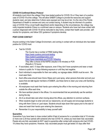### *COVID-19 Confirmed Illness Protocol*

All students must inform the college if they have tested positive for COVID-19 or if they learn of a positive case of COVID-19 at the college. This will allow SABER College to provide the resources and support students need, and also determine if others were exposed and may be at risk. It is the role of the Florida Department of Health to oversee and carry out contact tracing. A student may be informed of a positive case of COVID-19 by a local health department and/or depending on the circumstances, the college may notify impacted students if there is a confirmed case on campus. Students who have had close contact with a person diagnosed with COVID-19 will be instructed to stay home, contact their health care provider, selfmonitor for symptoms, and follow CDC guidance if symptoms develop.

### **POST-COVID CONTACT**

Anyone working in the Saber College Environment, and coming in contact with an individual who has tested positive for COVID must:

• Test for COVID

The County has a number of FREE testing Sites <https://www.curative.com/covid-testing> <https://patient.questdiagnostics.com/> <https://www.miamidade.gov/COVID-19/testing> They offer a choice of the RAPID (results in 45 minutes) or PCR (Results in 72 hours)

- If vaccinated, wait 3 -5 days after exposure, even if they don't have symptoms and wear a mask indoors in public for 14 days following exposure or until they test negative.
- Each individual is responsible for their own safety; our signage states: MASK must be worn. We must wear them.
- Each office area should have Clorox Wipes and Lysol spray, when persons that enter and exit your space that are **not** regular members of SABER, use these items to clean your area until Sanitizing is available.
- All employees must wash their hands upon entering the office in the morning and returning from outside the office each time.
- We have sanitizer placed in the offices. It is recommended that we periodically use the sanitizer during the day
- All of us should take care when moving about the offices, pay attention to common surfaces.
- When students begin to enter and exit our classrooms, we will supply and encourage students to bring with them Clorox or Lysol wipes. Students should wipe down their space prior to the start of class and wash their hands upon entering the classroom.
- Remember it is your responsibility to keep yourself safe!

#### **Quarantine**

Quarantine if you have been in close contact (within 6 feet of someone for a cumulative total of 15 minutes or more over a 24-hour period) with someone who has COVID-19, unless you have been fully vaccinated. People who are fully vaccinated do NOT need to quarantine after contact with someone who had COVID-19 unless they have symptoms. However, fully vaccinated people must get tested 3-5 days after their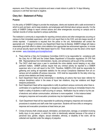exposure, even if they don't have symptoms and wear a mask indoors in public for 14 days following exposure or until their test result is negative.

## **Clery Act – Statement of Policy**

#### **Purpose**

It is the policy of SABER College to provide the employees, clients and students with a safe environment in which to work and learn, and to keep students, and employees well informed about campus security. It is the policy of SABER College to report criminal actions and other emergencies occurring on campus and to maintain records of crimes reported to campus authorities.

The institution's community is responsible for reporting criminal actions and other emergencies occurring on campus to their immediate supervisors, who will in turn report them to the COO, and who keeps records of crimes reported. If assistance is required from the police or fire unit, Administration will contact the appropriate unit. If danger is imminent, any Department Head may do likewise. SABER College will make a reasonable good-faith effort to obtain crime statistics form appropriate law enforcement agencies, to include in an annual security report and the Web-based report to ED. Those wishing to see the area's crime report can access: [www.miamidade.gov/myneighborhood.](http://www.miamidade.gov/myneighborhood)

- A. There shall be a Clery Act Compliance Committee (CACC) to be responsible for compliance with the Clery Act of 1990 and the United States Department of Education regulations 34 CFR Part 668. Representatives from Administration, faculty, and admissions will be part of this committee.
- B. The CACC shall meet once a year to coordinate the crime statistic record keeping or any other pertinent matters. SABER policies require that any criminal activity be reported to a SABER supervisor who in turn will report to the COO. Therefore, SABER's COO shall be responsible for gathering and sorting all reportable statistics for the annual Compliance Statement from all oncampus and all available off-campus resources. COO shall be responsible for the daily crime log, annual crime statistics and timely warnings.
- C. Each Department Head will be instrumental in identifying all actions that have been referred for campus disciplinary action in the areas of liquor law violations, drug law violations and illegal weapons possession.
- D. Each Department Head will be responsible to notify its pertinent campus community when there is confirmation of a significant emergency or dangerous situation involving an immediate threat to the health or safety of students or staff occurring on campus. Notification may be verbal or by the use of electronic and cellular communication, whichever is more expedient. In this instance tested emergency response and evacuation procedures may be implemented if necessary.
- E. Each Department Head will be responsible for publicizing emergency response and evacuation procedures to students and staff under their supervision. Students will have drills on emergency response and evacuation procedures at least twice per year.
- F. Crimes of larceny-theft, simple assault, intimidation, and destruction, damage, or vandalism involving bodily injury to any person, in which the victim is intentionally selected because of the actual or perceived race, gender, religion, sexual orientation, ethnicity, or disability of the victim, will be collected and reported under the category of prejudice.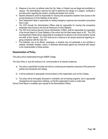- G. Weapons of any kind, as defined under the City, State, or Federal Law are illegal and prohibited on campus. The administration reserves the right to determine the danger of a weapon, confiscate it and take action regarding the student, including termination from school.
- H. Student Admissions shall be responsible for insuring that prospective students have access to the annual Disclosure of Crime Statistics of the school.
- I. Each Department Head is responsible for testing emergency response and evacuation procedures twice a year.
- J. The COO through the Administrative Offices shall be responsible for insuring that prospective employees have access to the Annual Disclosure of Crime Statistics.
- K. The COO and Campus Security Survey Administrator (CSSA), shall be responsible for preparation of the Annual Report of Crime Statistics of the school and the Web-based report to ED. The COO and Department Heads will be responsible for arranging for its delivery to all current students, faculty and staff, at their request. The COO shall act as a resource to all campus personnel regarding ongoing compliance with the Clery Act.
- L. The Institution, any of its officers, employees, or students may not participate in any activities to retaliate, intimidate, threaten, coerce, or otherwise discriminate against any individual with respect to the implementation of these policies.

# **Dissemination of Policy**

This policy will be implemented through SABER College

The Clery Policy is, and will continue to be, communicated to all relevant audiences.

- a) The policy is specifically included and will be a continuing and essential component of the personnel policies and procedures and catalog.
- b) It will be publicized in appropriate communications of the organization such as this Catalog.
- c) The policy will be thoroughly discussed in orientation and all training programs, and in appropriate management and supervisory meetings, so that the organization's policy is made clear.

School Crime Report is available upon request at the Administrative Offices.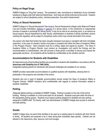# **Policy on Illegal Drugs**

SABER College is a "Drug free" campus. The possession, sale, manufacture or distribution of any controlled substance is illegal under both state and federal laws. Such laws are strictly enforced by the school. Violators are subject to school disciplinary action, criminal prosecution, fine and/or imprisonment.

## **Policy on Sexual Harassment**

SABER College is a "Sexual Harassment" free campus. Sexual Harassment is illegal under State and Federal Law and includes intimidation, **bullying or [coercion](http://en.wikipedia.org/wiki/Coercion)** of a sexual nature, or the unwelcome or inappropriate promise of rewards in exchange for sexual favors, it may be as mild as an annoying word, or as serious as sexual assault. Sexual Harassment by staff, faculty, administrators or students is strictly prohibited; anyone violating this regulation will be subject to disciplinary action which may include termination from school.

Any person who feels that he/she has been sexually harassed must place a complaint with their immediate supervisor; in the case of a student, he/she must place a complaint with either the Dean of Academic Affairs or the Program Director. Said complaint must be in writing, dated and signed by student. The Dean of Academic Affairs or Program Director must conduct an investigation and submit the findings and the recommendation to Administration, who will convene a three person committee to discuss and impose the appropriate sanctions. All complaints will be handled as confidentially as the situation permits.

## **Accommodations for Students with Disabilities**

All classrooms and school building facilities are accessible to students with disabilities in accordance with the **Americans with Disability Act of 1990 (ADA).**

Designated parking spaces for individuals with physical challenges are available at our campus.

SABER provides reasonable accommodations to qualified students with disabilities, allowing them to participate in the programs and activities of the school

Students who are in need of disability accommodation should contact the Dean of Academic Affairs or Program Director. SABER maintains strict confidentiality with regards to medical information related to students' disabilities.

### **Parking**

Adequate lighted parking is available at SABER College. Parking is located on the rear of the school building. Parking is available on a first-come basis for all students. Students must park within the lines of the designated parking spaces. Students must respect parking designed for disabled and also parking assigned to SABER staff. The faculty, staff, and administration of SABER College have access to reserved and safe parking.

## **Guests**

SABER College does not permit their facilities to be used as a meeting place for students with their friends or family. All students are expected to be in class during their scheduled class periods. Children are not allowed in the classrooms, labs, resource room and lounges.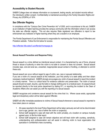# **Accessibility to Student Records**

SABER College does not release information on coursework, testing results, and student records without the individual's written consent. Confidentiality is maintained according to the Family Education Rights and Privacy Act (FERPA) of 1974.

## **Sex Offender Registry**

In compliance with the "Campus Sex Crime Prevention Act" of 2000, and in accordance to this act, SABER as an institution of higher learning provides the campus community with the information where it can access the state sex offender registry. This act also requires State registered sex offenders to report to law enforcement any institution of higher learning where they are a student or an employee.

The Florida Department of Law Enforcement is responsible for maintaining the Florida Sexual Offenders and Predators website. Follow the link below for access.

<http://offender.fdle.state.fl.us/offender/homepage.do>

#### **Sexual Assault Prevention and Response Policy**

Sexual assault is a crime defined as intentional sexual contact, it is characterized by use of force, physical threat or abuse of authority or when the victim is not able to consent or does not consent. Sexual assault includes rape, oral and anal sex, unwanted, inappropriate sexual contact or fondling, or attempts to commit these acts.

Sexual assault can occur without regard to age of victim, sex, race or spousal relationship.

If you are a victim of a sexual assault at this institution, your first priority is to seek safety and then obtain necessary medical treatment. SABER strongly encourages any victim of sexual assault to report the incident in a timely manner. Time is a critical factor for evidence collection and preservation. The victim of sexual assault should not wash, douche, use the toilet or change clothing prior to a medical exam. An assault should be reported directly to the local police department by dialing 911, or reporting the incident to the Dean of Academic Affairs who can assist you with the reporting of a sexual assault.

SABER recognizes and condemns sexual assault for the crime that it is. Where cause exists, appropriate legal and disciplinary action will be taken against Offender.

SABER will offer immediate assistance to victims of Sexual Assault whenever a sexual assault is reported to have taken place on campus.

- 1. All cases reported to the local Police Department will be taken seriously and will not be discriminated due to age, gender, sex, race of either the victim or suspect(s).
- 2. School staff assigned to case will meet with the victim privately, at a location on campus mutually agreed upon, to file the initial report.
- 3. School staff assigned to case will remain objective and will treat victim with courtesy, sensitivity, understanding and professionalism and will assist in referring victim to local organization that specialize in confidential crises counseling.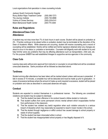Local organizations that specialize in crises counseling include:

| Jackson South Community Hospital   |                    |
|------------------------------------|--------------------|
| Roxcy Bolton Rape Treatment Center | $(305) 585 - 7273$ |
| The Journey Institute              | (305) 740-8998     |
| <b>Victims of Crimes Services</b>  | $(305)-230-6141$   |
| Miami Behavioral Health Center     | (305-774-3300      |

## **Rules and Regulations**

## **Attendance/Class Cuts Attendance**

A student may not miss more than 7% of clock hours in each course. Student will be placed on probation at 4%. If he/she continues to be absent while on probation student may be terminated at the discretion of the Dean of Academic Affairs. While absences are occurring, student will receive counseling and a record of counseling will be established. He/she will be notified and his/her signature obtained when any changes are about to occur in his status i.e. probation or termination. Counselor will diligently work with student to try and help him/her solve any problems that may be affecting attendance such as transportation, child care, etc. For this purpose SABER has well established linkages to supportive service agencies in the community.

# **Class Cuts**

Leaving class early without prior approval from instructor or counselor is not permitted and will be considered unexcused absences. Same procedure will be followed as described above.

# **Tardiness**

Student arriving after attendance has been taken will be marked absent unless valid excuse is presented. If late in excess of 15 minutes, a complete hour will be deducted and must be made up prior to graduation. In cases of excessive tardiness where the amount of make-up work required is excessive, student will be placed on probation and rules as described in unexcused absences will apply.

## **Conduct**

Students are expected to conduct themselves in a professional manner. The following are considered violations and student may be subject to dismissal:

- **A.** That the student has been offensive in his conduct toward a fellow student or instructor.
- **B.** That student suffers from some permanent chronic mental ailment which incapacitates him/her from performance in the classroom.
- **C.** That the student has violated any lawful regulation when such violation amounts to a serious breach of discipline which may reasonably be expected to result in lower morale in the school.
- **D.** That the student through negligence or willful conduct has caused damage to school property or waste of school supplies.
- **E.** That the student has been intoxicated while in school.
- **F.** That the student has misappropriated school property or has illegally disposed of it.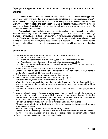# **Copyright Infringement Policies and Sanctions (Including Computer Use and File Sharing)**

Incidents of abuse or misuse of SABER's computer resources will be reported to the appropriate agency head. Users who violate this Policy will be subject to penalties up to and including suspension and/or dismissal from school. Illegal actions will be reported to the appropriate department head, who will convene a committee to hear investigate and report outcome to Dean of Academic Affairs. Administration will take appropriate action as dictated above including report to local, state, or federal law enforcement agency for investigation and possible prosecution.

Any unauthorized use of materials protected by copyright or other intellectual property rights is strictly prohibited by this Policy and will be considered Copyright Infringement. This infringement will include illegal downloading or unauthorized distribution of copyrighted material, including unauthorized peer-to-peer file sharing (**File sharing** is the practice of distributing or providing access to digitally stored information, such as computer programs, multi-media (audio, video), documents, or electronic book ) Staff or Students violating this policy may be subject to suspension, dismissal and/or civil and criminal liabilities after protocol described on paragraph 1.

# **General Rules**

**1.** Students will help maintain a clean environment and project a professional image at all times.

- a. No eating or drinking in the classroom.
- b. No smoking is permitted anywhere in the building, as SABER is a smoke free environment.
- c. Place all waste paper, coffee cups, bottles, and other trash in designated receptacles
- d. Do not leave any personal belongings on the shelves, chairs, or desks as SABER is not responsible for any lost or stolen items.
- 2. No food or articles are allowed to be sold by students anywhere on school grounds.
- 3. Students should wear appropriate clothing. Neither men nor women should wear revealing shorts, miniskirts, or tank tops. No bare midriffs, etc. Men's shirts must have sleeves.
- 4. Cellular phones, beepers, and watches with alarms must be in silent mode.
- 5. Tape players are allowed in the classroom to record the instructor upon approval.
- 6. No bicycles or motorcycles are allowed in the classroom or corridors.
- 7. SABER does not allow children to be on school property without supervision. We are not responsible for any children or young adults as they are not in our care. Parents must make prior arrangements and not take children with them to class.
- 8. A student must be registered to attend class. Friends, children, or other relatives cannot accompany students to class.
- 9. Students are to park their cars in the students' parking lot. Do not park in the staff parking lot. If it is necessary to park on the street in front of a residence, do not block the driveway. Please observe and respect all traffic signs on school property and in the neighborhood. In cooperation with the Miami Police Department, illegally parked cars will be ticketed or towed. Tickets and towing charges may exceed \$100.00
- 10. No visitors are allowed on the school property unless they obtain a pass from the main office.
- 11. All books, notes and other items must be placed in the front or sides of classrooms during quizzes, tests, or exams. No exceptions will be made.
- 12. Students are to abide by an honor code as absolutely no cheating is allowed.
- 13. Students who are caught cheating will have their test removed from their possession, will receive a grade of "0" and will be put on probation. Once student is on probation and is caught cheating again student will be dismissed.
- 14. Students must refrain from writing or doodling on exam sheets.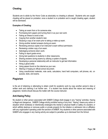# **Cheating**

Students are to abide by the Honor Code as absolutely no cheating is allowed. Students who are caught cheating will be placed on probation; once a student is on probation and is caught cheating again, student will be dismissed.

#### **Examples of Cheating:**

- Taking an exam from or for someone else.
- Purchasing term papers and turning them in as your own work.
- Faking an illness to avoid a test.
- Copying from another student's test.
- Studying a copy of an exam prior to taking a make-up exam.
- Giving another student answers during an exam.
- Reviewing previous copies of an instructor's exam without permission.
- Reviewing a stolen copy of an exam.
- Sabotaging someone else's work.
- Failing to report grade errors.
- Giving test questions to students in other classrooms.
- Sharing answers during exams by utilizing a system of signals.
- Developing a personal relationship with an instructor to get test Information.
- Hiring a ghost writer.
- Using papers found on the internet as your own.
- Altering or forging an official school document.
- Using unauthorized materials, note cards, calculators, hand held computers, cell phones, etc. on quizzes, tests, and exams.

### **Plagiarism**

Is the act of obtaining or attempting to obtain credit for academic work by copy another person's idea or written work and claiming it as his/her own. If a student has doubts about the nature and meaning of plagiarism, he/she should discuss the matter with the course instructor.

## **Anti-Hazing Policy**

No student or other person associated with SABER College shall engage in any "hazing" activities. Hazing is illegal and dangerous. SABER College strictly prohibits hazing of any kind. "Hazing" means any action or situation which recklessly or intentionally endangers the mental or physical health or safety of a student, or which willfully destroys or removes public or private property for the initiation or admission into or affiliation with any organization operating under the sanction of SABER. Any students or other persons associated with SABER who engages in any hazing activity are subject to penalties up to dismissal from the School.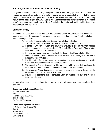# **Firearms, Fireworks, Bombs and Weapons Policy**

Dangerous weapons of any kind are illegal and prohibited on SABER College premises. Weapons definition includes any item defined under the city, state or federal law as a weapon but is not limited to: guns, slingshots, bows and arrows, spear, switchblades, knives, martial arts weapons, brass knuckles, or any instrument that ejects projectiles SABER College reserves the right to determine whether an item could be classified as dangerous and confiscate said item. Any student violating this policy will be subject to penalties up to dismissal from the School

# **Grievance Policy**

Grievance – A student, staff member who feels he/she may have been unjustly treated may appeal the policy or procedure. The purpose of this process is to provide an equitable process of resolving student and personnel grievances.

- 1. Student with a complaint should discuss it first with their instructor.
- 2. Staff and faculty should address the matter with their immediate supervisor.
- 3. If conflict is unresolved, student or if faculty was unavailable, student may then submit a written grievance and meet with the Dean of Academic Affairs (DAA) and/or Director within three days of having met with instructor.
- 4. Staff and faculty may lodge a complaint with the Director/ Chief Administrative Officer.
- 5. DAA must inform SABER College's Chief Administrative Officer of the grievance within 24 hours of meeting with student.
- 6. If at this point conflict remains unresolved, student can then meet with the Academic Affairs Committee, comprised of faculty and administrative staff.
- 7. The student, staff or faculty member will be able to equitably express their position on the issue, and if available, provide documentation to substantiate their position.
- 8. The Academic Affairs Committee will consider all sides and render a decision on the disposition of the policy violation or other issue.
- 9. Provisions for resolutions shall be concluded within ten (10) business days after receipt of the written grievances.

In cases when these informal meetings do not resolve the conflict, student may then appeal and file a grievance to:

#### **Commission for Independent Education**

325 West Gaines Street Suite 1414 Tallahassee, FL 32399-0400 (850) 245-3200 Toll Free: 1-888-224-6684

#### **Council on Occupational Education**

7840 Roswell Road, Building 300 Suite 325 Atlanta, Ga. 30350 Toll free: (800) 917-2081 [www.council.org](http://www.council.org/)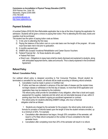**Commission on Accreditation in Physical Therapy Education (CAPTE)** 3030 Potomac Ave., Suite 100 Alexandria, Virginia 22305-3085 (703) 706-3245 [accreditation@capte.org](mailto:accreditation@capte.org) [http://www.capteonline.org](http://www.capteonline.org/)

## **Payment Schedule**

A hundred Dollars (\$100.00) Non-Refundable application fee is due at the time of signing the application for admission. Students will be given a choice on paying their tuition. Prior to attending the first class, books and supplies must be purchased.

The student has the option of paying tuition costs as follows:

- 1) In full, prior to attending the first class
- 2) Paying the balance of the tuition cost on a pro-rata basis over the length of the program. All costs must have been met in full prior to graduation.
- 3) A monthly payment plan
- 4) SABER also accepts Vocational Rehabilitation and Career Source Vouchers
- 5) Federal Financial Aid for those students who qualify.
	- Federal Pell Grant
	- Direct Loan Obligations to repay loans shall be clearly disclosed and explained to students, along with anticipated repayment terms, dates and amounts. This is clearly explained in the Enrollment Agreement.

## **Refund Policy**

#### **Refund / Cancellation Policy**

Our outlined refund policy is designed according to Fair Consumer Practices. Should student be terminated or cancelled for any reason, all refunds will be made according to following refund schedule.

- **1.** Cancellation must be made in person or Certified mail.
- **2.** If tuition and fees are collected in advance of the start date of classes and the student does not begin classes or withdraws on the first day of classes, no more than \$100 application and registration fees may be retained by the institution.

The refund policy shall provide for cancellation of any obligation, other than a book and supply assessment for supplies, materials and kits which are not returnable because of use, within **3** working days from the student's signing an enrollment agreement or contract.

**3.** The refund policy for students attending SABER College, who incur a financial obligation shall be as follows:

1. Students are charged by the semester for the program, the refund policy shall provide a formula for proration of refunds based upon the length of time the student remains enrolled, up to a minimum of 20%. For example:

- Cancellation after attendance has begun, through 20% completion of the semester, will result in a Pro Rata refund computed on the number of hours completed to the total semester hours.
- Cancellation after completing more than 20% of the semester will result in no refund.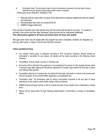- **4.** Termination Date: The termination date for refund computation purposes is the last date of actual attendance by the student unless earlier written notice is received. Disclosures as per Rule 6E-1.0032(6)(i), FAC
	- 1. Refunds shall be made within 30 days of the date that the institution determines that the student has withdrawn.
	- 2. Nonrefundable fees shall not exceed \$150.00
	- 3. SABER College Statement**:**

Only records of students who were denied entry into the school will be kept for one year. If a student is enrolled in the school and then later dismissed, those records will be maintained indefinitely. **This refund policy applies to all loans and school loans for those who qualify.** 

Although some loans may be repaid after the program has been completed, students are obligated, as with any other loans, to repay in full the loan that they received.

#### **Tuition and Refund Policy**

- Our outlined refund policy is designed according to Fair Consumer Practices. Should student be terminated or cancelled for any reason, all refunds will be made according to the following refund schedule.
- Cancellation must be made in person or Certified mail.
- All monies will be refunded if the applicant is not accepted by the school or if the student cancels within 3 business days after signing the Enrollment agreement (if student signs before the first day of class) and making initial payment.
- Cancellation after the  $3<sup>rd</sup>$  business day, but before the first class, will result in a refund of all monies paid, with the exception of the nonrefundable registration and application fee.
- Termination Date: The termination date for refund computation purposes is the last date of actual attendance by the student unless earlier written notice is received.
- SABER School will keep records on file for at least one year of any student who is dismissed or denied entry.
- Refund will be made within 45 days following determination of termination or receipt of Cancellation **Notice**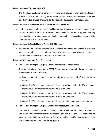#### **Refunds for classes Canceled by SABER**

• The School reserves the right to cancel any Programs and/or courses. If tuition fees are collected in advance of the start date of a program and SABER cancels the class, 100% of the tuition and fees collected must be refunded. The refund shall be made within 45 days of the planned start date.

#### **Refunds for Students Who Withdraw On or Before the First Day of Class**

• If tuition and fees are collected in advance of the start date of classes and the student does not begin classes or withdraws on the first day of classes, no more than \$100 application and registration fees may be retained by the institution. Appropriate refunds for a student who does not begin classes shall be made within 45 days of the class start date.

#### **Refunds for Students Enrolled Prior to Visiting SABER College**

• Students who have not visited the school facility prior to enrollment will have the opportunity to withdraw without penalty within three days following either attendance at a regularly scheduled orientation or following a tour of the facilities and inspection of the equipment.

#### **Refunds for Withdrawal after Class Commences**

**1.** Refund Policy for Programs Obligating Students for Periods of 12 Months or Less

The refund policy for students attending SABER College, who incur a financial obligation for a period of 12 months or less shall be as follows:

- **a)** During the first 10% of the period of financial obligation, the institution shall refund at least 90% of the tuition;
- **b)** After the first 10% of the period of financial obligation and until the end of the first 25% of the period of obligation, the institution shall refund at least 50% of the tuition;
- **c)** After the first 25% of the period of financial obligation and until the end of the first 50% of the period of obligation, the institution shall refund at least 25% of the tuition; and,
- **d)** After the first 50% of the period of financial obligation, the institution may retain all of the tuition.
- **2.** Refund Policy for Programs Obligating Students for Periods beyond Twelve Months

Institutions with programs longer than 12 months that financially obligate the student for any period of time beyond 12 months shall release the student of the obligation to pay beyond the 12 months if the student withdraws during the first 12 months. The calculation of the refund for the unused portion of the first 12 months shall be based on section (4)(1) above.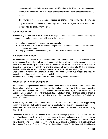If the student withdraws during any subsequent period following the first 12 months, the student's refund for the unused portion of the tuition applicable to the period of withdrawal shall be based on section (4)(1) above.

• **This refund policy applies to all loans and school loans for those who qualify.** Although some loans may be repaid after the program has been completed, students are obligated, as with any other loans, to repay in full the loan that they received.

# **Termination Policy**

A student may be dismissed, at the discretion of the Program Director, prior to completion of the program. Reasons for termination include but are not limited to the following:

- Insufficient progress ( not maintaining a passing grade)
- Failure to comply with rules outlined in catalog under code of conduct and school policies including attendance regulations.
- Nonpayment of tuition under terms agreed upon with SABER School's Administration.

# **Withdrawal from School**

All students who wish to withdraw from the School must submit written notice to the Dean of Academic Affairs or the Program Director; these will be the designated withdrawal offices. Students who declare intent to withdraw will be automatically withdrawn when intent is declared; this will be considered an official withdrawal. Students who withdraw unofficially by not attending classes, will be withdrawn after 14 days of absence; withdrawal will be reflected as the last day of attendance and student will earn a W/F grade.

Once a student withdraws, the withdrawal will not be rescinded. Student must re-apply and follow reapplication procedures as when student is terminated.

Attendance is the tracking mechanism used by school to identify unofficial withdrawals.

# **Return of Title IV Funds (R2t4) Policy**

All students who resign from the School must submit written notice to the Withdrawal Office. Students who declare intent to withdraw will be automatically withdrawn when intent is declared; this will be considered an official withdrawal. Students who stopped attending classes will be unofficially withdrawn on the 14<sup>th</sup> day. If a student, who is disbursed Title IV financial assistance, withdraws or stops attending class on or before completing 60% of the semester in which the Title IV aid was disbursed, the following Return of Title IV Funds policy will be applied.

SABER College will implement the Federal Return of Title IV Funds policy. This policy will apply to any student who receives Title IV aid and who officially or unofficially withdraws, drops out, or is expelled. Refer to the "Withdrawal from School" section of the Saber Catalog for requirements on officially withdrawing from school.

The amount of Title IV aid to be returned to the applicable federal program will be determined, using the student's withdrawal date, by calculating the percentage of the enrollment period which the student did not complete. The School must return unearned funds to the DOE within 30 days of the date of determination of the withdrawal date. The school has 180 days to notify student of eligibility for a post-withdrawal disbursement. The order of the return of funds is: Unsubsidized Federal Stafford Loan, Subsidized Federal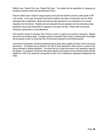Stafford Loan, Federal Plus Loan, Federal Pell Grant. The student will be responsible for repaying any remaining unearned portion that was disbursed to them.

Failure to attend class or failure to resign properly could cause the student to receive a letter grade of W/F in all courses. In this case, the student would still be subject to the return of funds policy once an official withdrawal date is established. Merely discontinuing class attendance is not considered to be a formal resignation from the School. Students who were awarded financial assistance and who discontinue class attendance may be held responsible for repayment of all tuition and fees. Please refer to the School Catalog for requirements on class attendance.

If the student's portion of unearned Title IV funds is a loan, no action by the school is necessary. Regular loan terms and conditions apply. If student's portion of unearned Title IV funds is a federal grant, the student will be required to return no more than 50% of the amount received for the enrollment period.

In the event of resignation, the School institutional refund policy will be applied and tuition will be reduced by that amount. The student may be liable for any Title IV funds disbursed to their account in excess of the amount allowed by federal regulations. The school will try to collect the portion of any assistance owed by the student. If no payment is received, holds will be placed on the student's account and the student will lose eligibility for Title IV aid unless the overpayment is paid in full or satisfactory repayment arrangements are made.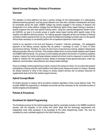## **Hybrid Concept Strategies, Policies & Procedures**

## **Overview**

The utilization of online platforms has been a primary strategy for the implementation of a metacognitive behavioral learning approach, and has proven effective over more than a decade of development and study by universities across the world. SABER College has actively engaged in the process of research and development of an online platform strategy that will effectively deliver theory based training to students in specific programs who also meet specific training criteria. Using the Learning Management System known as CANVAS, our goal is to provide access to quality career based training within specific areas of the cognitive and affective learning domains. Our training approach integrates all tiers and frontiers of learning providing a holistic experience that not only provides foundational knowledge but builds upon it in the specific clinical areas necessary to successfully perform the occupational objectives of each career.

Central to our approach is the level and frequency of student / instructor exchanges. Our pedagogical approach to the delivery process requires that we perform 1 exchange for every 1.5 hours of online asynchronous training. Therefore, for every 45 clock hours of asynchronous training, adaptive interpersonal telecommunication will occur 30 times. This includes multiple forms of communication between each student and SABER staff and faculty. Our process of event tracking will perform the function of monitoring academic progress, however the human exchange between student and school must be measured to ensure that the student is "stitched into" the academic process. Modes of exchange include general discussion, email, fax, telephonic communication, teleconference and campus based meetings.

Since our strategic model programming is hybrid, access to the campus is critical. It is our policy that students participating in training using the hybrid platform must attend some classes and exams on campus. Students are always welcome to come to the campus to access student services and on-campus resources for supplemental study and for their student support services.

## **Hybrid Concept Model**

All student services on campus will be provided to students regardless of their course delivery mode. This provides SABER the opportunity to remediate and provide services necessary for the continued success of student progress and persistence.

### **Policies & Procedures**

### **Enrollment for Hybrid Programming**

The Enrollment process for the hybrid programming shall be universally included in the SABER enrollment process, with the exception of one survey form which deals with the technology requirements and independent study skills necessary to be successful at the online programming model. This must be completed by every candidate applying for the hybrid training cycles.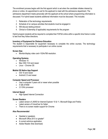The enrollment process begins with the first appoint which is set when the candidate initiates interest by phone or online. An appointment is set for the applicant to meet with the admissions department. The admissions department meets personally with the applicant at the school where programming information is discussed. For hybrid based students additional information must be discussed. This includes:

- 1. Reiteration of the technology requirements
- 2. Schedule of on campus activities that students must be engaged in
- 3. Will discuss testing protocol
- 4. Clinical or Externship (if applicable) requirements for the program

Hybrid program students will be required to complete their FAFSA online within a specific time frame in order to test how they follow directions.

#### **Inventory of Equipment for Distance Education**

The student is responsible for equipment necessary to complete the online courses. The technology requirements that is necessary to participate in an online course:

#### **Screen Size**

• Monitor/display video card–1024x768 resolution.

#### **Operating Systems**

- Windows 10
- Mac OSX 10.6 and newer
- Linux Chrome OS

#### **Mobile OS Native App Support**

- iOS 10 and newer
- Android 2.3 and newer

### **Computer Speed and Processor**

- Use a computer 5 years old or newer when possible
- 4 GB of RAM
- 2.0 GHz processor

#### **Internet Speed**

• High Speed Internet Connection

#### **Screen Readers**

- Latest version of JAWS for Internet Explorer 10 & 11, Microsoft Edge and Firefox
- Latest version of VoiceOver for Safari
- There is no screen reader support for Chrome

#### **Also Recommended**

- Headset or speakers
- Microsoft Office 2013 or greater\*
- A current antivirus application
- Adobe Reader (free download)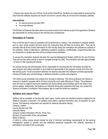\* Classes may require the use of Word, Excel and/or PowerPoint. Students are responsible for ensuring that they have the software required and should not enroll in course if they do not have the necessary software.

#### **Internet/Email**

- An internet service provider (ISP)
- An e-mail address

The Division of Distance Education does not provide access to the Internet as part of its agreement. Students are responsible for having access to the internet and a professional

## **Orientation & Tutorial:**

Prior to the first day of class an orientation will be performed on campus. The orientation is program specific, and so, each online student will learn about the instructors they will likely be working with. They will be provided with all of the contact information for their faculty during this orientation and policies for contacts at the institution. Rules of attendance, satisfactory academic progress, confidentiality, programming data and an introduction to student services will be provided during orientation.

To access the orientation students will enter the Learning Management System (LMS) for the very first time. They will use the online tutorial to learn to navigate through the LMS. The orientation will take approximately 1.5 hours in total including the tutorial.

On campus faculty and administration will be responsible for ensuring that the information provided for each program and online orientation is up-to-date and appropriate to the program of study and entry into the training cycle. For all coursework delivered via distance education the institution provides appropriate training for faculty who use technology in distance education courses and programs.

The online course schedules runs weekly from Sunday to Saturday. The online professors are trained to respond to students' requests within 24 hours during the work week (Monday to Friday). The professors have 48 hours to respond during the weekend and during official school holidays which are listed in the school catalog. Additionally, the students are informed during their orientation that they may contact the Distance Education Coordinator if the professor fails to meet the 24/48 hour deadline.

## **Syllabus and Lesson Plans**

Syllabus will be available on the first day class opens. Lesson plans are standard however adapted for the distance education component. The syllabus must reflect a general information plan of education for each course. The following components are required for distance education training: Campus Location Course Number and Title Instructor Name Campus Contact Information (Phone, Email, Fax) Number of hours/credits of the course/weeks Mode of delivery A hybrid or online course should include the kind of minimum technology requirements for the learning management system to operate and any additional peripheral equipment and software necessary to

participate in all areas of the courseware.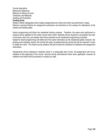Course description Behavioral Objectives Methods of delivery & tools Textbooks and Materials Grading and Evaluation

## **Grading Scale**

Weekly Outline (designates which weekly assignments are online and which are performed in class) Distance Learning Policies for assignment submission and directions to the campus for attendance of lab classes and testing dates.

Hybrid programming will follow the residential training modules. Therefore, the same work performed on campus will be adapted for the online course work model. Students will be required to accomplish the work in the same clock hour and weekly time frame schedule as the residential programming schedule. Syllabi for hybrid programming will reflect all of the same information as the residential syllabi; however, the grading and evaluation section will include the types of graded learning events that will be required in order to satisfy the rubric. The Hybrid course syllabus will also include the schedule for deadlines and assignment submission.

Assignments will be released to students online in a reasonable rate of time. All assignments will not be released at the beginning of the course. Quizzes will be administered online when applicable, however all midterms and finals will be proctored on campus by staff.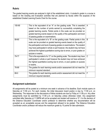# **Rubric**

The graded learning events are analyzed in light of the established rubric. A student's grade in a course is based on the Grading and Evaluation activities that are planned by faculty within the auspices of the established Graded Learning Events Chart for the course.

| 100-90 | This is the equivalent of an "A" on the grading scale. This is awarded<br>based on the number of points earned by successfully completing the<br>graded learning events. Partial points in this scale can be provided on<br>graded learning events based on the quality of the participation and level<br>of passing grades on examinations.                                                                        | A |
|--------|---------------------------------------------------------------------------------------------------------------------------------------------------------------------------------------------------------------------------------------------------------------------------------------------------------------------------------------------------------------------------------------------------------------------|---|
| 89-80  | This is the equivalent of a "B" on the grading scale. Partial points in this<br>scale can be provided on graded learning events based on the quality of<br>the participation and level of passing grades on examinations. The student<br>may have participated in whole or part however, the student may not have<br>achieved the highest quantitative scoring due to errors, or poor grades on<br>quizzes or exams | B |
| 79-77  | This is the equivalent of a "C" on the grading scale. The student may have<br>participated in whole or part however the student may not have achieved<br>the highest quantitative scoring due to errors, or poor grades on quizzes<br>or exams                                                                                                                                                                      | C |
| 76-69  | The grades for each learning events and/or assessment did not meet the<br>minimum required standard.                                                                                                                                                                                                                                                                                                                | D |
| 68-0   | The grades for each learning events and/or assessment did not meet the<br>minimum required standard.                                                                                                                                                                                                                                                                                                                | F |

# **Assignment submission**

All assignments will be posted at a minimum one week in advance of its deadline. Each module opens on Saturday at 11:59 p.m. For each module, the initial discussion board post(s) *is* due by 11:59 p.m. on Wednesday. The responses to the discussions of fellow students are due by Friday at 11:59 p.m. Any other assignments must be submitted by 11:59 p.m. on Saturday unless otherwise noted. Any assignment submitted after Saturday at 11:59PM will not be accepted and student will receive a "0". It is the decision of the Distance Education Coordinator and/or professor to determine whether any documentation will be accepted as an acceptable excuse and the assignment allowed to be graded. The Distance Education Coordinator and/or professor will reduce the maximum grade by 10 points for late submission.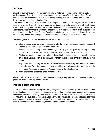## **Test Taking**

Students taking hybrid courses will be required to take all midterms and final exams in person on the physical campus. A faculty member will be assigned to proctor exams for each course offered. Faculty member will be assigned to monitor all in-house exams. Most courses will have a mid-term and final. Quizzes can be administered using the LMS.

Dates and times for taking mid-terms and finals will be posted online in the syllabus, and will be emailed to students in a course. There will be at a minimum two test dates and times for students to take finals. If student fails first final, he may retake the final a second time. Students MUST schedule their testing date in advance. Reservations will be confirmed on a first come first serve basis. In order to schedule midterm dates and finals, students must email the Campus Services Coordinator with their course number and title and the selected date for testing. Before each test opens the student will sign and accept the terms of test taking.

The following items are required for students to take an exam on campus:

- a) State or federal photo identification such as a valid driver's license, passport, resident alien card. Change to School Issued Student Identification Card
- b) Students should carry any personal belongings in a bag (i.e. back pack, sports bag, tote bag, pocketbook, or purse) and be prepared to leave such belongings in the front of the room.
- c) All electronic equipment such as cell phones, iPads, Kindles, laptops or any other type of equipment are to be stowed in the front of the room with other personal belongings or not brought to the testing center.
- d) Any student found cheating will be removed immediately from the testing area and will be given an automatic zero (0) for the course, and may be subject to disciplinary action including potential termination. Please see Cheating and Plagiarism policy in the school catalog.
- e) Notes and textbooks are not allowed in the testing area.

All exams will be graded and results posted on the course page. Any questions or comments concerning grades can be made with the course instructor.

## **Tracking student attendance**

Course work for each course in a program is designed by institution staff and faculty with the expectation that the workload provided is reflective and congruent to the number of contact hours required for the course. Furthermore, submission of assignments will be the measure of evaluation that a student is expected to submit in order to prove student attendance. Students who do not participate in online class activities will be given a warning that they are at risk of failure. They will be given an opportunity to continue their courses online with the express condition that they will make strides towards improvement.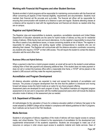# **Working with Financial Aid Programs and other Student Services**

Students enrolled in hybrid programs will be responsible for maintaining communication with the financial aid officer concerning all aspects of their financial eligibility, requirements and documentation. Students must maintain their financial aid file accurate and up-to-date. The financial aid officer will be responsible for ensuring that communication with students at a distance is open and regular. Students attending classes at a distance will be required to meet with the registrar/bursar and financial aid director as needed while they are on campus.

#### **Registrar and Hybrid Delivery**

The Registrar roles and responsibilities to students, operations, accreditation standards and United States Department of Education standards are the same for hybrid modes of delivery as they are for residential modes of delivery. While faculty track and record attendance, it is the registrar's responsibility to ensure that the office is aware of any attendance issues, or issues concerning students at risk of failure. The registrar is responsible for calling, emailing and sending regular written correspondence to students who are not attending their classes. The Registrar will communicate with the distance education coordinator concerning any students who require a "STOP" on their LMS access. This will require the student to contact the distance education add the word office here.

#### **Business Office and Hybrid Delivery**

When a payment is late from a hybrid program student, an email will be sent to the student's email address notifying them of their late payment and assessing additional fees. If the student does not make payment or does not call or contact the business office within a reasonable time frame, a "STOP" will be placed on the student's LMS account until they make the required payment(s).

#### **Accreditation and Program Development**

All distance education activities are expected to meet and exceed the standards of accreditation and licensure. The process of program development from the time that the platform is introduced and moving forward will always review the hybrid model as an option for any future program offering.

Assessment plans are developed for each program of study. The platform maintains an integrated program assessment on its own and in conjunction with the modified assessment plans which will include the distance education mode of delivery in the assessment plan as needed.

## **U.S. Department of Education**

All methodologies for the calculation of hours for a distance education platform of delivery that apply to the model adopted by SABER College will be initiated in compliance with federal guidelines for title IV programs. Such methods can be found in the FSA Handbook.

#### **Media Services**

Students in all programs of delivery regardless of the mode of delivery will have regular access to campus media, and virtual libraries. This is inherent to the requirements of accreditation for the development and supplemental enhancement of the academic experience. Students are encouraged to make use of all resources on campus in order ensure equal access to academic material and media services. Dean of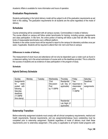Academic Affairs is available for more information and hours of operation.

## **Graduation Requirements**

Students participating in the hybrid delivery model will be subject to all of the graduation requirements as set forth in this catalog. The graduation requirements for all students are the same regardless of the mode of delivery.

## **Schedules**

Course scheduling will be consistent with all campus courses. Commonalities in modes of delivery: The course offered on campus will follow certain benchmarks for training, including quizzes, assignments and class participation. In like form, the online portion of training will follow a plan that will offer the same kinds of measureable benchmarks over a different platform.

Students in the online course hours will be required to report to the campus for laboratory activities once per week, if applicable. Students will be required to attend their mid- term and final on campus

#### **Differences in modes of delivery**

The measurement of clock hours and attendance will not only be dependent upon a roster such as found in a classroom setting, but in the actual submission of course work on the deadlines provided. This is critical for the success of students and as evidence of class participation in the program of study.

#### **Schedule:**

## **Hybrid Delivery Schedule**

| Sunday                                                                                                         | Monday | Tuesday | Wednesday                                        | Thursday                                    | Friday                                                      | Saturday                               |
|----------------------------------------------------------------------------------------------------------------|--------|---------|--------------------------------------------------|---------------------------------------------|-------------------------------------------------------------|----------------------------------------|
| Assignments<br>for<br>week<br>with<br>posted<br>following<br>Saturday<br>deadlines<br>(11:59PM)<br>time stamp) |        |         | First<br><b>Discussion</b><br>Post<br>by 11:59PM | Residential<br>Lab Day (if<br>applicable)   | Two<br>responses to<br>classmates'<br>post<br>by<br>11:59PM | <b>Deadlines</b><br>for<br>assignments |
|                                                                                                                |        |         |                                                  | Residential<br>Lab Night (if<br>applicable) |                                                             |                                        |

## **Externship Transition**

Before externship assignment students must comply with all clinical competency requirements, medical and health requirements, financial requirements, and any assignments/makeup hours outstanding must be completed prior to externship assignment. Students regardless of mode of delivery must meet these requirements prior to externship assignment. (This policy is applicable to all hybrid model programs with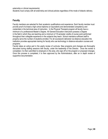externship or clinical requirements).

Students must comply with all externship and clinical policies regardless of the mode of didactic delivery.

## **Faculty**

Faculty members are selected for their academic qualifications and experience. Each faculty member must provide proof of at least a high school diploma (or equivalent) and demonstrated competency and credentials in the technical area of instruction. In the Physical Therapist program all faculty have a minimum of a professional Master's Degree. All General Education instructors possess a Degree in the field in which they are teaching and a minimum of 18 semester credits of course work performed throughout their collegiate experience in the subjects they teach. School maintains sufficient staff to properly serve the number of students enrolled. For all coursework delivered via distance education the institution provides appropriate training for faculty who use technology in distance education courses and programs.

Faculty takes an active part in the yearly review of curricula. New programs and changes are thoroughly discussed during staffing sessions with faculty, under the leadership of the Director. Once the review is completed, it is then submitted to employers in the area, who sign off on the program or proposed changes. Once this process is completed, it is then approved by the Administrators, after an in depth review of supportive documentation.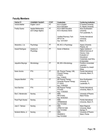# **Faculty Members**

| <b>FACULTY</b>       | <b>COURSES TAUGHT:</b>     | FT/PT     | <b>Credentials:</b>         | <b>Conferring Institution</b> |
|----------------------|----------------------------|-----------|-----------------------------|-------------------------------|
| Victoria Mahler      | English I and II           | PT        | M.A in English              | E Carolina University         |
|                      |                            |           | <b>B.A</b> in Education     | FL Atlantic University        |
| <b>Freddy Suarez</b> | <b>Applied Mathematics</b> | PT        | M.S in Math Education       | Nova Southeastern             |
|                      | and College Algebra        |           | M.S in Business Admin       | University                    |
|                      |                            |           |                             | Fort Lauderdale, FL           |
|                      |                            |           |                             |                               |
|                      |                            |           | Certified Pharmacy Tech     | Florida International         |
|                      |                            |           | RPT31178                    | University                    |
|                      |                            |           | Exp. 12/31/2021             | Miami, FL                     |
| Alexandra J. Lis     | Psychology                 | PT        | BA, M.S. in Psychology      | <b>Argosy University</b>      |
|                      |                            |           |                             | Phoenix, AZ                   |
| Araceli Rodríguez    | Anatomy &                  | PT        | Doctor of Medicine          | Higher Institute of           |
|                      | Physiology                 |           |                             | Medical Sciences of           |
|                      |                            |           |                             | Havana, Cuba                  |
|                      |                            |           |                             | Evaluation of                 |
|                      |                            |           |                             | Educational                   |
|                      |                            |           |                             | Credentials-Josef Silny       |
|                      |                            |           |                             | & Associates                  |
| Jaqueline Mayorga    | Microbiology               | PT        | BS, MS in Microbiology      | Pontificio Universidad        |
|                      |                            |           |                             | Javeriana                     |
|                      |                            |           |                             | Evaluation by Joseph          |
|                      |                            |           |                             | Silney                        |
| Karen Arocha         | PTA                        | <b>FT</b> | BS, Physical Therapy / MS,  | Florida International         |
|                      |                            |           | Physical Therapy<br>PT18701 | University, Miami, Fl.        |
|                      |                            |           | Exp. 11/30/23               |                               |
| Gaspara Barditch     | <b>PTA</b>                 | FT        | MS Physical Therapy,        | Nova Southeastern             |
|                      |                            |           | Doctorate Physical Therapy  | University, Ft                |
|                      |                            |           | PT 23916                    | Lauderdale, FL                |
|                      |                            |           | Exp. 11/30/2023             |                               |
| Aura Sanchez         | PTA                        | FT        | <b>MS Physical Therapy</b>  | Florida International         |
|                      |                            |           | PT23340                     | University, Miami, Fl.        |
|                      |                            |           | Exp. 11/30/2023             |                               |
| Elia C. Monterrubio  | Nursing                    | FT        | <b>MSN</b>                  | University of Phoenix         |
|                      |                            |           | RN1373402                   | Miami Florida                 |
|                      |                            |           | Exp. 04/30/2023             |                               |
| Pavel Pugh Alvarez   | Nursing                    | FT        | <b>MSN</b>                  | Florida International         |
|                      |                            |           | APRN9456430                 | University, Miami, Fl.        |
| Jose C. Tabraue      | Nursing                    | <b>FT</b> | Exp 7/31/2022<br><b>MSN</b> | Miami Regional                |
|                      |                            |           | APRN11011046                | University, Miami             |
|                      |                            |           | Exp 7/31/2022               | Springs, Fl.                  |
| Norberto Molina, Jr. | Nursing                    | <b>FT</b> | <b>MSN</b>                  | University of Phoenix         |
|                      |                            |           | RN2659512                   | Miami, Florida                |
|                      |                            |           | Exp 7/31/2022               |                               |